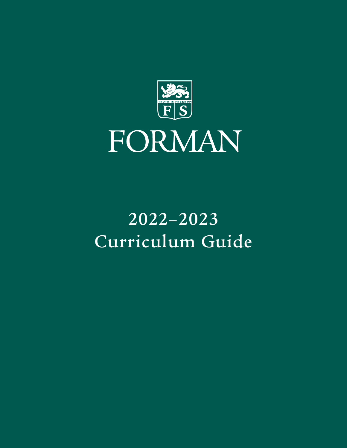

# 2022–2023 Curriculum Guide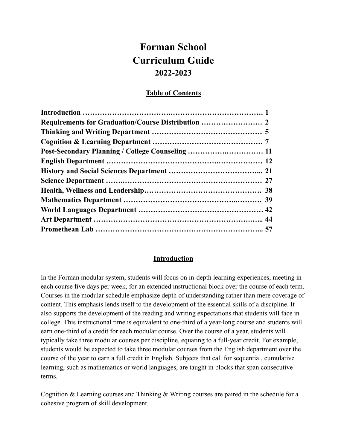# **Forman School Curriculum Guide 2022-2023**

# **Table of Contents**

# **Introduction**

In the Forman modular system, students will focus on in-depth learning experiences, meeting in each course five days per week, for an extended instructional block over the course of each term. Courses in the modular schedule emphasize depth of understanding rather than mere coverage of content. This emphasis lends itself to the development of the essential skills of a discipline. It also supports the development of the reading and writing expectations that students will face in college. This instructional time is equivalent to one-third of a year-long course and students will earn one-third of a credit for each modular course. Over the course of a year, students will typically take three modular courses per discipline, equating to a full-year credit. For example, students would be expected to take three modular courses from the English department over the course of the year to earn a full credit in English. Subjects that call for sequential, cumulative learning, such as mathematics or world languages, are taught in blocks that span consecutive terms.

Cognition & Learning courses and Thinking & Writing courses are paired in the schedule for a cohesive program of skill development.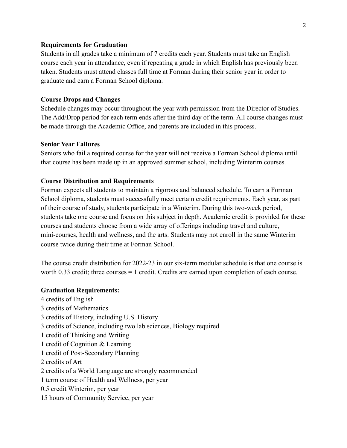#### **Requirements for Graduation**

Students in all grades take a minimum of 7 credits each year. Students must take an English course each year in attendance, even if repeating a grade in which English has previously been taken. Students must attend classes full time at Forman during their senior year in order to graduate and earn a Forman School diploma.

### **Course Drops and Changes**

Schedule changes may occur throughout the year with permission from the Director of Studies. The Add/Drop period for each term ends after the third day of the term. All course changes must be made through the Academic Office, and parents are included in this process.

#### **Senior Year Failures**

Seniors who fail a required course for the year will not receive a Forman School diploma until that course has been made up in an approved summer school, including Winterim courses.

#### **Course Distribution and Requirements**

Forman expects all students to maintain a rigorous and balanced schedule. To earn a Forman School diploma, students must successfully meet certain credit requirements. Each year, as part of their course of study, students participate in a Winterim. During this two-week period, students take one course and focus on this subject in depth. Academic credit is provided for these courses and students choose from a wide array of offerings including travel and culture, mini-courses, health and wellness, and the arts. Students may not enroll in the same Winterim course twice during their time at Forman School.

The course credit distribution for 2022-23 in our six-term modular schedule is that one course is worth 0.33 credit; three courses = 1 credit. Credits are earned upon completion of each course.

#### **Graduation Requirements:**

4 credits of English 3 credits of Mathematics 3 credits of History, including U.S. History 3 credits of Science, including two lab sciences, Biology required 1 credit of Thinking and Writing 1 credit of Cognition & Learning 1 credit of Post-Secondary Planning 2 credits of Art 2 credits of a World Language are strongly recommended 1 term course of Health and Wellness, per year 0.5 credit Winterim, per year 15 hours of Community Service, per year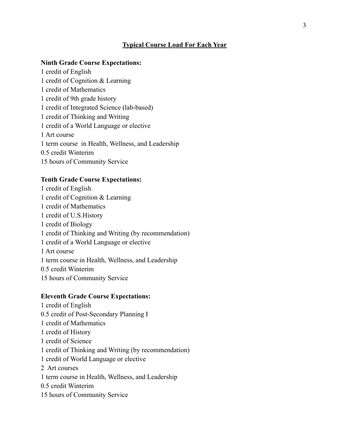# **Typical Course Load For Each Year**

#### **Ninth Grade Course Expectations:**

1 credit of English 1 credit of Cognition & Learning 1 credit of Mathematics 1 credit of 9th grade history 1 credit of Integrated Science (lab-based) 1 credit of Thinking and Writing 1 credit of a World Language or elective 1 Art course 1 term course in Health, Wellness, and Leadership 0.5 credit Winterim 15 hours of Community Service

#### **Tenth Grade Course Expectations:**

1 credit of English 1 credit of Cognition & Learning 1 credit of Mathematics 1 credit of U.S.History 1 credit of Biology 1 credit of Thinking and Writing (by recommendation) 1 credit of a World Language or elective 1 Art course 1 term course in Health, Wellness, and Leadership 0.5 credit Winterim 15 hours of Community Service

#### **Eleventh Grade Course Expectations:**

1 credit of English 0.5 credit of Post-Secondary Planning I 1 credit of Mathematics 1 credit of History 1 credit of Science 1 credit of Thinking and Writing (by recommendation) 1 credit of World Language or elective 2 Art courses 1 term course in Health, Wellness, and Leadership 0.5 credit Winterim 15 hours of Community Service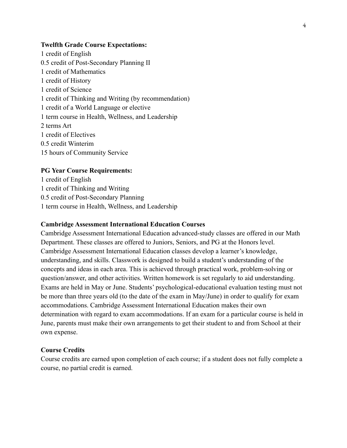#### **Twelfth Grade Course Expectations:**

1 credit of English 0.5 credit of Post-Secondary Planning II 1 credit of Mathematics 1 credit of History 1 credit of Science 1 credit of Thinking and Writing (by recommendation) 1 credit of a World Language or elective 1 term course in Health, Wellness, and Leadership 2 terms Art 1 credit of Electives 0.5 credit Winterim 15 hours of Community Service

#### **PG Year Course Requirements:**

1 credit of English 1 credit of Thinking and Writing 0.5 credit of Post-Secondary Planning 1 term course in Health, Wellness, and Leadership

#### **Cambridge Assessment International Education Courses**

Cambridge Assessment International Education advanced-study classes are offered in our Math Department. These classes are offered to Juniors, Seniors, and PG at the Honors level. Cambridge Assessment International Education classes develop a learner's knowledge, understanding, and skills. Classwork is designed to build a student's understanding of the concepts and ideas in each area. This is achieved through practical work, problem-solving or question/answer, and other activities. Written homework is set regularly to aid understanding. Exams are held in May or June. Students' psychological-educational evaluation testing must not be more than three years old (to the date of the exam in May/June) in order to qualify for exam accommodations. Cambridge Assessment International Education makes their own determination with regard to exam accommodations. If an exam for a particular course is held in June, parents must make their own arrangements to get their student to and from School at their own expense.

#### **Course Credits**

Course credits are earned upon completion of each course; if a student does not fully complete a course, no partial credit is earned.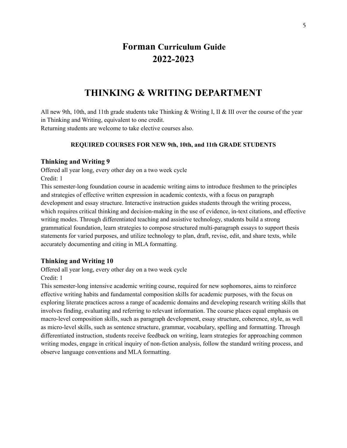# **Forman Curriculum Guide 2022-2023**

# **THINKING & WRITING DEPARTMENT**

All new 9th, 10th, and 11th grade students take Thinking & Writing I, II & III over the course of the year in Thinking and Writing, equivalent to one credit. Returning students are welcome to take elective courses also.

#### **REQUIRED COURSES FOR NEW 9th, 10th, and 11th GRADE STUDENTS**

#### **Thinking and Writing 9**

Offered all year long, every other day on a two week cycle Credit: 1

This semester-long foundation course in academic writing aims to introduce freshmen to the principles and strategies of effective written expression in academic contexts, with a focus on paragraph development and essay structure. Interactive instruction guides students through the writing process, which requires critical thinking and decision-making in the use of evidence, in-text citations, and effective writing modes. Through differentiated teaching and assistive technology, students build a strong grammatical foundation, learn strategies to compose structured multi-paragraph essays to support thesis statements for varied purposes, and utilize technology to plan, draft, revise, edit, and share texts, while accurately documenting and citing in MLA formatting.

#### **Thinking and Writing 10**

Offered all year long, every other day on a two week cycle Credit: 1

This semester-long intensive academic writing course, required for new sophomores, aims to reinforce effective writing habits and fundamental composition skills for academic purposes, with the focus on exploring literate practices across a range of academic domains and developing research writing skills that involves finding, evaluating and referring to relevant information. The course places equal emphasis on macro-level composition skills, such as paragraph development, essay structure, coherence, style, as well as micro-level skills, such as sentence structure, grammar, vocabulary, spelling and formatting. Through differentiated instruction, students receive feedback on writing, learn strategies for approaching common writing modes, engage in critical inquiry of non-fiction analysis, follow the standard writing process, and observe language conventions and MLA formatting.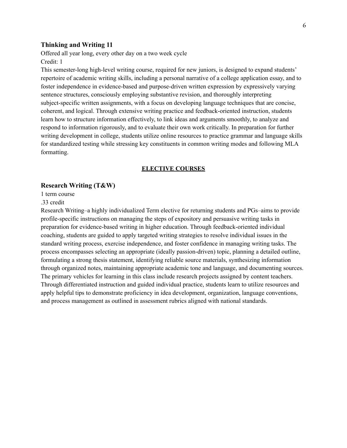#### **Thinking and Writing 11**

Offered all year long, every other day on a two week cycle Credit: 1

This semester-long high-level writing course, required for new juniors, is designed to expand students' repertoire of academic writing skills, including a personal narrative of a college application essay, and to foster independence in evidence-based and purpose-driven written expression by expressively varying sentence structures, consciously employing substantive revision, and thoroughly interpreting subject-specific written assignments, with a focus on developing language techniques that are concise, coherent, and logical. Through extensive writing practice and feedback-oriented instruction, students learn how to structure information effectively, to link ideas and arguments smoothly, to analyze and respond to information rigorously, and to evaluate their own work critically. In preparation for further writing development in college, students utilize online resources to practice grammar and language skills for standardized testing while stressing key constituents in common writing modes and following MLA formatting.

#### **ELECTIVE COURSES**

#### **Research Writing (T&W)**

#### 1 term course

#### .33 credit

Research Writing–a highly individualized Term elective for returning students and PGs–aims to provide profile-specific instructions on managing the steps of expository and persuasive writing tasks in preparation for evidence-based writing in higher education. Through feedback-oriented individual coaching, students are guided to apply targeted writing strategies to resolve individual issues in the standard writing process, exercise independence, and foster confidence in managing writing tasks. The process encompasses selecting an appropriate (ideally passion-driven) topic, planning a detailed outline, formulating a strong thesis statement, identifying reliable source materials, synthesizing information through organized notes, maintaining appropriate academic tone and language, and documenting sources. The primary vehicles for learning in this class include research projects assigned by content teachers. Through differentiated instruction and guided individual practice, students learn to utilize resources and apply helpful tips to demonstrate proficiency in idea development, organization, language conventions, and process management as outlined in assessment rubrics aligned with national standards.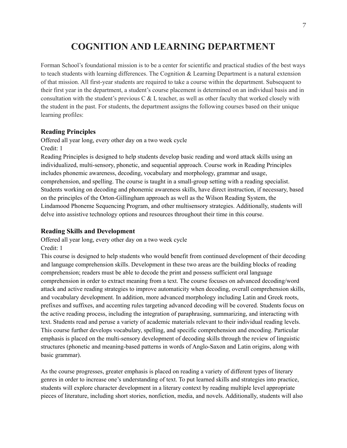# **COGNITION AND LEARNING DEPARTMENT**

Forman School's foundational mission is to be a center for scientific and practical studies of the best ways to teach students with learning differences. The Cognition & Learning Department is a natural extension of that mission. All first-year students are required to take a course within the department. Subsequent to their first year in the department, a student's course placement is determined on an individual basis and in consultation with the student's previous  $C \& L$  teacher, as well as other faculty that worked closely with the student in the past. For students, the department assigns the following courses based on their unique learning profiles:

#### **Reading Principles**

Offered all year long, every other day on a two week cycle

Credit: 1

Reading Principles is designed to help students develop basic reading and word attack skills using an individualized, multi-sensory, phonetic, and sequential approach. Course work in Reading Principles includes phonemic awareness, decoding, vocabulary and morphology, grammar and usage, comprehension, and spelling. The course is taught in a small-group setting with a reading specialist. Students working on decoding and phonemic awareness skills, have direct instruction, if necessary, based on the principles of the Orton-Gillingham approach as well as the Wilson Reading System, the Lindamood Phoneme Sequencing Program, and other multisensory strategies. Additionally, students will delve into assistive technology options and resources throughout their time in this course.

#### **Reading Skills and Development**

Offered all year long, every other day on a two week cycle Credit: 1

This course is designed to help students who would benefit from continued development of their decoding and language comprehension skills. Development in these two areas are the building blocks of reading comprehension; readers must be able to decode the print and possess sufficient oral language comprehension in order to extract meaning from a text. The course focuses on advanced decoding/word attack and active reading strategies to improve automaticity when decoding, overall comprehension skills, and vocabulary development. In addition, more advanced morphology including Latin and Greek roots, prefixes and suffixes, and accenting rules targeting advanced decoding will be covered. Students focus on the active reading process, including the integration of paraphrasing, summarizing, and interacting with text. Students read and peruse a variety of academic materials relevant to their individual reading levels. This course further develops vocabulary, spelling, and specific comprehension and encoding. Particular emphasis is placed on the multi-sensory development of decoding skills through the review of linguistic structures (phonetic and meaning-based patterns in words of Anglo-Saxon and Latin origins, along with basic grammar).

As the course progresses, greater emphasis is placed on reading a variety of different types of literary genres in order to increase one's understanding of text. To put learned skills and strategies into practice, students will explore character development in a literary context by reading multiple level appropriate pieces of literature, including short stories, nonfiction, media, and novels. Additionally, students will also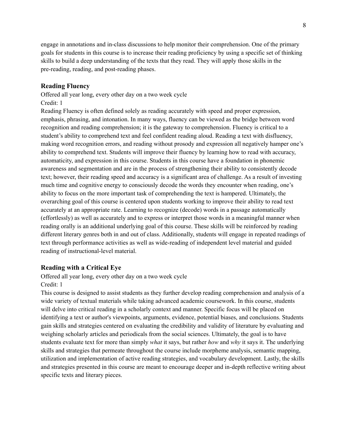engage in annotations and in-class discussions to help monitor their comprehension. One of the primary goals for students in this course is to increase their reading proficiency by using a specific set of thinking skills to build a deep understanding of the texts that they read. They will apply those skills in the pre-reading, reading, and post-reading phases.

#### **Reading Fluency**

Offered all year long, every other day on a two week cycle Credit: 1

Reading Fluency is often defined solely as reading accurately with speed and proper expression, emphasis, phrasing, and intonation. In many ways, fluency can be viewed as the bridge between word recognition and reading comprehension; it is the gateway to comprehension. Fluency is critical to a student's ability to comprehend text and feel confident reading aloud. Reading a text with disfluency, making word recognition errors, and reading without prosody and expression all negatively hamper one's ability to comprehend text. Students will improve their fluency by learning how to read with accuracy, automaticity, and expression in this course. Students in this course have a foundation in phonemic awareness and segmentation and are in the process of strengthening their ability to consistently decode text; however, their reading speed and accuracy is a significant area of challenge. As a result of investing much time and cognitive energy to consciously decode the words they encounter when reading, one's ability to focus on the more important task of comprehending the text is hampered. Ultimately, the overarching goal of this course is centered upon students working to improve their ability to read text accurately at an appropriate rate. Learning to recognize (decode) words in a passage automatically (effortlessly) as well as accurately and to express or interpret those words in a meaningful manner when reading orally is an additional underlying goal of this course. These skills will be reinforced by reading different literary genres both in and out of class. Additionally, students will engage in repeated readings of text through performance activities as well as wide-reading of independent level material and guided reading of instructional-level material.

#### **Reading with a Critical Eye**

Offered all year long, every other day on a two week cycle Credit: 1

This course is designed to assist students as they further develop reading comprehension and analysis of a wide variety of textual materials while taking advanced academic coursework. In this course, students will delve into critical reading in a scholarly context and manner. Specific focus will be placed on identifying a text or author's viewpoints, arguments, evidence, potential biases, and conclusions. Students gain skills and strategies centered on evaluating the credibility and validity of literature by evaluating and weighing scholarly articles and periodicals from the social sciences. Ultimately, the goal is to have students evaluate text for more than simply *what* it says, but rather *how* and *why* it says it. The underlying skills and strategies that permeate throughout the course include morpheme analysis, semantic mapping, utilization and implementation of active reading strategies, and vocabulary development. Lastly, the skills and strategies presented in this course are meant to encourage deeper and in-depth reflective writing about specific texts and literary pieces.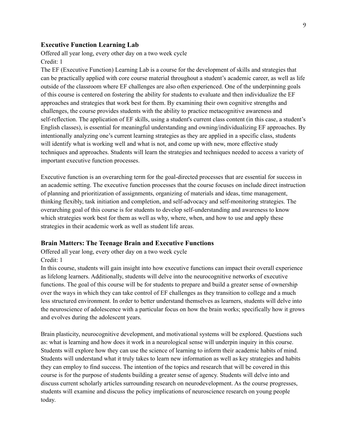#### **Executive Function Learning Lab**

Offered all year long, every other day on a two week cycle Credit: 1

The EF (Executive Function) Learning Lab is a course for the development of skills and strategies that can be practically applied with core course material throughout a student's academic career, as well as life outside of the classroom where EF challenges are also often experienced. One of the underpinning goals of this course is centered on fostering the ability for students to evaluate and then individualize the EF approaches and strategies that work best for them. By examining their own cognitive strengths and challenges, the course provides students with the ability to practice metacognitive awareness and self-reflection. The application of EF skills, using a student's current class content (in this case, a student's English classes), is essential for meaningful understanding and owning/individualizing EF approaches. By intentionally analyzing one's current learning strategies as they are applied in a specific class, students will identify what is working well and what is not, and come up with new, more effective study techniques and approaches. Students will learn the strategies and techniques needed to access a variety of important executive function processes.

Executive function is an overarching term for the goal-directed processes that are essential for success in an academic setting. The executive function processes that the course focuses on include direct instruction of planning and prioritization of assignments, organizing of materials and ideas, time management, thinking flexibly, task initiation and completion, and self-advocacy and self-monitoring strategies. The overarching goal of this course is for students to develop self-understanding and awareness to know which strategies work best for them as well as why, where, when, and how to use and apply these strategies in their academic work as well as student life areas.

#### **Brain Matters: The Teenage Brain and Executive Functions**

Offered all year long, every other day on a two week cycle Credit: 1

In this course, students will gain insight into how executive functions can impact their overall experience as lifelong learners. Additionally, students will delve into the neurocognitive networks of executive functions. The goal of this course will be for students to prepare and build a greater sense of ownership over the ways in which they can take control of EF challenges as they transition to college and a much less structured environment. In order to better understand themselves as learners, students will delve into the neuroscience of adolescence with a particular focus on how the brain works; specifically how it grows and evolves during the adolescent years.

Brain plasticity, neurocognitive development, and motivational systems will be explored. Questions such as: what is learning and how does it work in a neurological sense will underpin inquiry in this course. Students will explore how they can use the science of learning to inform their academic habits of mind. Students will understand what it truly takes to learn new information as well as key strategies and habits they can employ to find success. The intention of the topics and research that will be covered in this course is for the purpose of students building a greater sense of agency. Students will delve into and discuss current scholarly articles surrounding research on neurodevelopment. As the course progresses, students will examine and discuss the policy implications of neuroscience research on young people today.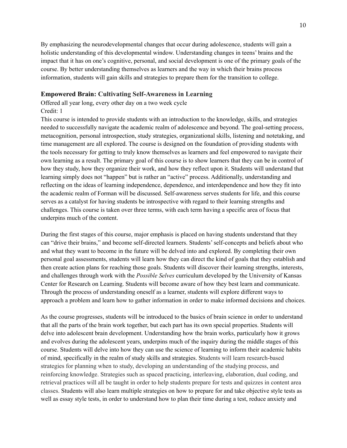By emphasizing the neurodevelopmental changes that occur during adolescence, students will gain a holistic understanding of this developmental window. Understanding changes in teens' brains and the impact that it has on one's cognitive, personal, and social development is one of the primary goals of the course. By better understanding themselves as learners and the way in which their brains process information, students will gain skills and strategies to prepare them for the transition to college.

#### **Empowered Brain: Cultivating Self-Awareness in Learning**

Offered all year long, every other day on a two week cycle

#### Credit: 1

This course is intended to provide students with an introduction to the knowledge, skills, and strategies needed to successfully navigate the academic realm of adolescence and beyond. The goal-setting process, metacognition, personal introspection, study strategies, organizational skills, listening and notetaking, and time management are all explored. The course is designed on the foundation of providing students with the tools necessary for getting to truly know themselves as learners and feel empowered to navigate their own learning as a result. The primary goal of this course is to show learners that they can be in control of how they study, how they organize their work, and how they reflect upon it. Students will understand that learning simply does not "happen" but is rather an "active" process. Additionally, understanding and reflecting on the ideas of learning independence, dependence, and interdependence and how they fit into the academic realm of Forman will be discussed. Self-awareness serves students for life, and this course serves as a catalyst for having students be introspective with regard to their learning strengths and challenges. This course is taken over three terms, with each term having a specific area of focus that underpins much of the content.

During the first stages of this course, major emphasis is placed on having students understand that they can "drive their brains," and become self-directed learners. Students'self-concepts and beliefs about who and what they want to become in the future will be delved into and explored. By completing their own personal goal assessments, students will learn how they can direct the kind of goals that they establish and then create action plans for reaching those goals. Students will discover their learning strengths, interests, and challenges through work with the *Possible Selves* curriculum developed by the University of Kansas Center for Research on Learning. Students will become aware of how they best learn and communicate. Through the process of understanding oneself as a learner, students will explore different ways to approach a problem and learn how to gather information in order to make informed decisions and choices.

As the course progresses, students will be introduced to the basics of brain science in order to understand that all the parts of the brain work together, but each part has its own special properties. Students will delve into adolescent brain development. Understanding how the brain works, particularly how it grows and evolves during the adolescent years, underpins much of the inquiry during the middle stages of this course. Students will delve into how they can use the science of learning to inform their academic habits of mind, specifically in the realm of study skills and strategies. Students will learn research-based strategies for planning when to study, developing an understanding of the studying process, and reinforcing knowledge. Strategies such as spaced practicing, interleaving, elaboration, dual coding, and retrieval practices will all be taught in order to help students prepare for tests and quizzes in content area classes. Students will also learn multiple strategies on how to prepare for and take objective style tests as well as essay style tests, in order to understand how to plan their time during a test, reduce anxiety and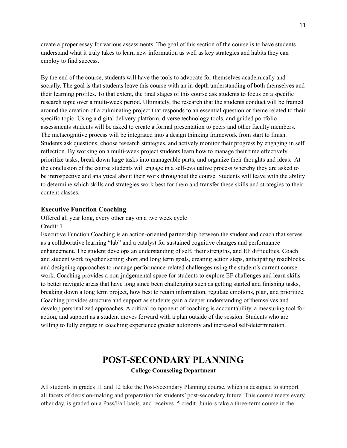create a proper essay for various assessments. The goal of this section of the course is to have students understand what it truly takes to learn new information as well as key strategies and habits they can employ to find success.

By the end of the course, students will have the tools to advocate for themselves academically and socially. The goal is that students leave this course with an in-depth understanding of both themselves and their learning profiles. To that extent, the final stages of this course ask students to focus on a specific research topic over a multi-week period. Ultimately, the research that the students conduct will be framed around the creation of a culminating project that responds to an essential question or theme related to their specific topic. Using a digital delivery platform, diverse technology tools, and guided portfolio assessments students will be asked to create a formal presentation to peers and other faculty members. The metacognitive process will be integrated into a design thinking framework from start to finish. Students ask questions, choose research strategies, and actively monitor their progress by engaging in self reflection. By working on a multi-week project students learn how to manage their time effectively, prioritize tasks, break down large tasks into manageable parts, and organize their thoughts and ideas. At the conclusion of the course students will engage in a self-evaluative process whereby they are asked to be introspective and analytical about their work throughout the course. Students will leave with the ability to determine which skills and strategies work best for them and transfer these skills and strategies to their content classes.

#### **Executive Function Coaching**

Offered all year long, every other day on a two week cycle Credit: 1

Executive Function Coaching is an action-oriented partnership between the student and coach that serves as a collaborative learning "lab" and a catalyst for sustained cognitive changes and performance enhancement. The student develops an understanding of self, their strengths, and EF difficulties. Coach and student work together setting short and long term goals, creating action steps, anticipating roadblocks, and designing approaches to manage performance-related challenges using the student's current course work. Coaching provides a non-judgemental space for students to explore EF challenges and learn skills to better navigate areas that have long since been challenging such as getting started and finishing tasks, breaking down a long term project, how best to retain information, regulate emotions, plan, and prioritize. Coaching provides structure and support as students gain a deeper understanding of themselves and develop personalized approaches. A critical component of coaching is accountability, a measuring tool for action, and support as a student moves forward with a plan outside of the session. Students who are willing to fully engage in coaching experience greater autonomy and increased self-determination.

# **POST-SECONDARY PLANNING College Counseling Department**

All students in grades 11 and 12 take the Post-Secondary Planning course, which is designed to support all facets of decision-making and preparation for students' post-secondary future. This course meets every other day, is graded on a Pass/Fail basis, and receives .5 credit. Juniors take a three-term course in the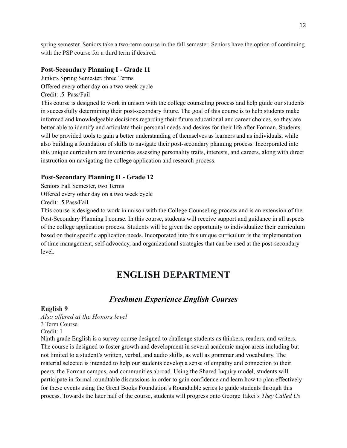spring semester. Seniors take a two-term course in the fall semester. Seniors have the option of continuing with the PSP course for a third term if desired.

#### **Post-Secondary Planning I - Grade 11**

Juniors Spring Semester, three Terms Offered every other day on a two week cycle Credit: .5 Pass/Fail This course is designed to work in unison with the college counseling process and help guide our students in successfully determining their post-secondary future. The goal of this course is to help students make informed and knowledgeable decisions regarding their future educational and career choices, so they are better able to identify and articulate their personal needs and desires for their life after Forman. Students will be provided tools to gain a better understanding of themselves as learners and as individuals, while also building a foundation of skills to navigate their post-secondary planning process. Incorporated into this unique curriculum are inventories assessing personality traits, interests, and careers, along with direct instruction on navigating the college application and research process.

#### **Post-Secondary Planning II - Grade 12**

Seniors Fall Semester, two Terms

Offered every other day on a two week cycle

Credit: .5 Pass/Fail

This course is designed to work in unison with the College Counseling process and is an extension of the Post-Secondary Planning I course. In this course, students will receive support and guidance in all aspects of the college application process. Students will be given the opportunity to individualize their curriculum based on their specific application needs. Incorporated into this unique curriculum is the implementation of time management, self-advocacy, and organizational strategies that can be used at the post-secondary level.

# **ENGLISH DEPARTMENT**

# *Freshmen Experience English Courses*

#### **English 9**

*Also offered at the Honors level* 3 Term Course Credit: 1

Ninth grade English is a survey course designed to challenge students as thinkers, readers, and writers. The course is designed to foster growth and development in several academic major areas including but not limited to a student's written, verbal, and audio skills, as well as grammar and vocabulary. The material selected is intended to help our students develop a sense of empathy and connection to their peers, the Forman campus, and communities abroad. Using the Shared Inquiry model, students will participate in formal roundtable discussions in order to gain confidence and learn how to plan effectively for these events using the Great Books Foundation's Roundtable series to guide students through this process. Towards the later half of the course, students will progress onto George Takei's *They Called Us*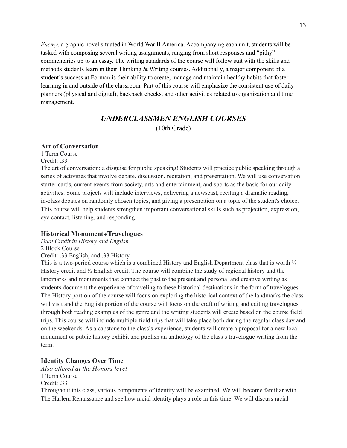*Enemy*, a graphic novel situated in World War II America. Accompanying each unit, students will be tasked with composing several writing assignments, ranging from short responses and "pithy" commentaries up to an essay. The writing standards of the course will follow suit with the skills and methods students learn in their Thinking & Writing courses. Additionally, a major component of a student's success at Forman is their ability to create, manage and maintain healthy habits that foster learning in and outside of the classroom. Part of this course will emphasize the consistent use of daily planners (physical and digital), backpack checks, and other activities related to organization and time management.

# *UNDERCLASSMEN ENGLISH COURSES*

(10th Grade)

#### **Art of Conversation**

1 Term Course Credit: .33

The art of conversation: a disguise for public speaking! Students will practice public speaking through a series of activities that involve debate, discussion, recitation, and presentation. We will use conversation starter cards, current events from society, arts and entertainment, and sports as the basis for our daily activities. Some projects will include interviews, delivering a newscast, reciting a dramatic reading, in-class debates on randomly chosen topics, and giving a presentation on a topic of the student's choice. This course will help students strengthen important conversational skills such as projection, expression, eye contact, listening, and responding.

#### **Historical Monuments/Travelogues**

*Dual Credit in History and English*

2 Block Course

Credit: .33 English, and .33 History

This is a two-period course which is a combined History and English Department class that is worth ⅓ History credit and ⅓ English credit. The course will combine the study of regional history and the landmarks and monuments that connect the past to the present and personal and creative writing as students document the experience of traveling to these historical destinations in the form of travelogues. The History portion of the course will focus on exploring the historical context of the landmarks the class will visit and the English portion of the course will focus on the craft of writing and editing travelogues through both reading examples of the genre and the writing students will create based on the course field trips. This course will include multiple field trips that will take place both during the regular class day and on the weekends. As a capstone to the class's experience, students will create a proposal for a new local monument or public history exhibit and publish an anthology of the class's travelogue writing from the term.

#### **Identity Changes Over Time**

*Also offered at the Honors level* 1 Term Course Credit: .33 Throughout this class, various components of identity will be examined. We will become familiar with The Harlem Renaissance and see how racial identity plays a role in this time. We will discuss racial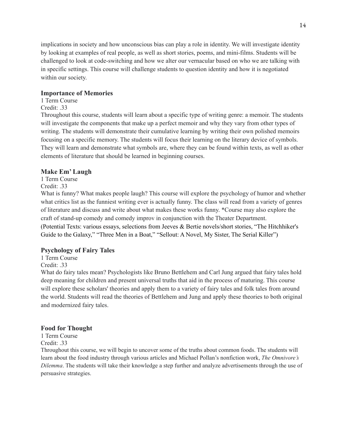implications in society and how unconscious bias can play a role in identity. We will investigate identity by looking at examples of real people, as well as short stories, poems, and mini-films. Students will be challenged to look at code-switching and how we alter our vernacular based on who we are talking with in specific settings. This course will challenge students to question identity and how it is negotiated within our society.

#### **Importance of Memories**

# 1 Term Course

### Credit: .33

Throughout this course, students will learn about a specific type of writing genre: a memoir. The students will investigate the components that make up a perfect memoir and why they vary from other types of writing. The students will demonstrate their cumulative learning by writing their own polished memoirs focusing on a specific memory. The students will focus their learning on the literary device of symbols. They will learn and demonstrate what symbols are, where they can be found within texts, as well as other elements of literature that should be learned in beginning courses.

#### **Make Em' Laugh**

1 Term Course Credit: .33

What is funny? What makes people laugh? This course will explore the psychology of humor and whether what critics list as the funniest writing ever is actually funny. The class will read from a variety of genres of literature and discuss and write about what makes these works funny. \*Course may also explore the craft of stand-up comedy and comedy improv in conjunction with the Theater Department. (Potential Texts: various essays, selections from Jeeves & Bertie novels/short stories, "The Hitchhiker's Guide to the Galaxy," "Three Men in a Boat," "Sellout: A Novel, My Sister, The Serial Killer")

#### **Psychology of Fairy Tales**

1 Term Course

Credit: .33

What do fairy tales mean? Psychologists like Bruno Bettlehem and Carl Jung argued that fairy tales hold deep meaning for children and present universal truths that aid in the process of maturing. This course will explore these scholars' theories and apply them to a variety of fairy tales and folk tales from around the world. Students will read the theories of Bettlehem and Jung and apply these theories to both original and modernized fairy tales.

#### **Food for Thought**

1 Term Course Credit: .33

Throughout this course, we will begin to uncover some of the truths about common foods. The students will learn about the food industry through various articles and Michael Pollan's nonfiction work, *The Omnivore's Dilemma*. The students will take their knowledge a step further and analyze advertisements through the use of persuasive strategies.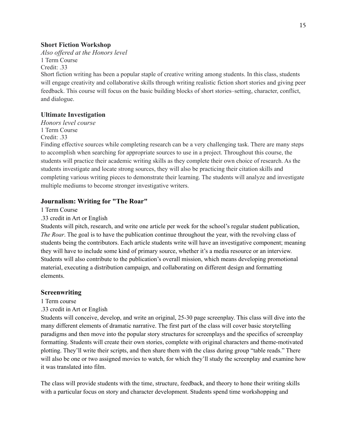#### **Short Fiction Workshop**

*Also offered at the Honors level* 1 Term Course Credit: 33

Short fiction writing has been a popular staple of creative writing among students. In this class, students will engage creativity and collaborative skills through writing realistic fiction short stories and giving peer feedback. This course will focus on the basic building blocks of short stories–setting, character, conflict, and dialogue.

### **Ultimate Investigation**

*Honors level course* 1 Term Course Credit: .33

Finding effective sources while completing research can be a very challenging task. There are many steps to accomplish when searching for appropriate sources to use in a project. Throughout this course, the students will practice their academic writing skills as they complete their own choice of research. As the students investigate and locate strong sources, they will also be practicing their citation skills and completing various writing pieces to demonstrate their learning. The students will analyze and investigate multiple mediums to become stronger investigative writers.

#### **Journalism: Writing for "The Roar"**

1 Term Course

#### .33 credit in Art or English

Students will pitch, research, and write one article per week for the school's regular student publication, *The Roar*. The goal is to have the publication continue throughout the year, with the revolving class of students being the contributors. Each article students write will have an investigative component; meaning they will have to include some kind of primary source, whether it's a media resource or an interview. Students will also contribute to the publication's overall mission, which means developing promotional material, executing a distribution campaign, and collaborating on different design and formatting elements.

#### **Screenwriting**

1 Term course

#### .33 credit in Art or English

Students will conceive, develop, and write an original, 25-30 page screenplay. This class will dive into the many different elements of dramatic narrative. The first part of the class will cover basic storytelling paradigms and then move into the popular story structures for screenplays and the specifics of screenplay formatting. Students will create their own stories, complete with original characters and theme-motivated plotting. They'll write their scripts, and then share them with the class during group "table reads." There will also be one or two assigned movies to watch, for which they'll study the screenplay and examine how it was translated into film.

The class will provide students with the time, structure, feedback, and theory to hone their writing skills with a particular focus on story and character development. Students spend time workshopping and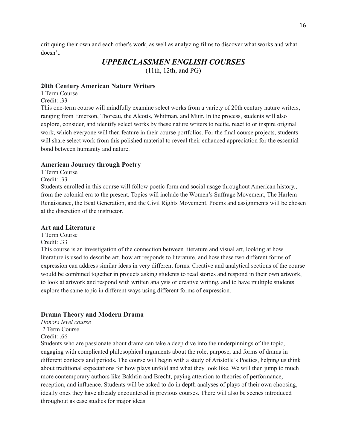critiquing their own and each other's work, as well as analyzing films to discover what works and what doesn't.

# *UPPERCLASSMEN ENGLISH COURSES*

(11th, 12th, and PG)

#### **20th Century American Nature Writers**

1 Term Course

Credit: 33

This one-term course will mindfully examine select works from a variety of 20th century nature writers, ranging from Emerson, Thoreau, the Alcotts, Whitman, and Muir. In the process, students will also explore, consider, and identify select works by these nature writers to recite, react to or inspire original work, which everyone will then feature in their course portfolios. For the final course projects, students will share select work from this polished material to reveal their enhanced appreciation for the essential bond between humanity and nature.

#### **American Journey through Poetry**

1 Term Course

Credit: .33

Students enrolled in this course will follow poetic form and social usage throughout American history., from the colonial era to the present. Topics will include the Women's Suffrage Movement, The Harlem Renaissance, the Beat Generation, and the Civil Rights Movement. Poems and assignments will be chosen at the discretion of the instructor.

#### **Art and Literature**

1 Term Course Credit: .33

This course is an investigation of the connection between literature and visual art, looking at how literature is used to describe art, how art responds to literature, and how these two different forms of expression can address similar ideas in very different forms. Creative and analytical sections of the course would be combined together in projects asking students to read stories and respond in their own artwork, to look at artwork and respond with written analysis or creative writing, and to have multiple students explore the same topic in different ways using different forms of expression.

### **Drama Theory and Modern Drama**

*Honors level course* 2 Term Course Credit: .66

Students who are passionate about drama can take a deep dive into the underpinnings of the topic, engaging with complicated philosophical arguments about the role, purpose, and forms of drama in different contexts and periods. The course will begin with a study of Aristotle's Poetics, helping us think about traditional expectations for how plays unfold and what they look like. We will then jump to much more contemporary authors like Bakhtin and Brecht, paying attention to theories of performance, reception, and influence. Students will be asked to do in depth analyses of plays of their own choosing, ideally ones they have already encountered in previous courses. There will also be scenes introduced throughout as case studies for major ideas.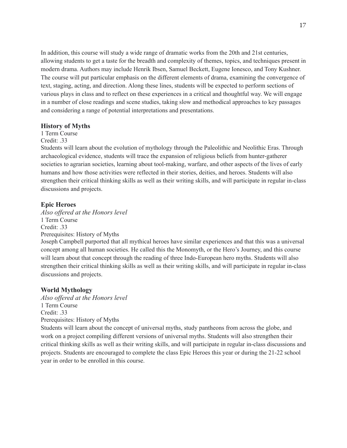In addition, this course will study a wide range of dramatic works from the 20th and 21st centuries, allowing students to get a taste for the breadth and complexity of themes, topics, and techniques present in modern drama. Authors may include Henrik Ibsen, Samuel Beckett, Eugene Ionesco, and Tony Kushner. The course will put particular emphasis on the different elements of drama, examining the convergence of text, staging, acting, and direction. Along these lines, students will be expected to perform sections of various plays in class and to reflect on these experiences in a critical and thoughtful way. We will engage in a number of close readings and scene studies, taking slow and methodical approaches to key passages and considering a range of potential interpretations and presentations.

#### **History of Myths**

1 Term Course

Credit: .33

Students will learn about the evolution of mythology through the Paleolithic and Neolithic Eras. Through archaeological evidence, students will trace the expansion of religious beliefs from hunter-gatherer societies to agrarian societies, learning about tool-making, warfare, and other aspects of the lives of early humans and how those activities were reflected in their stories, deities, and heroes. Students will also strengthen their critical thinking skills as well as their writing skills, and will participate in regular in-class discussions and projects.

### **Epic Heroes**

*Also offered at the Honors level* 1 Term Course Credit: .33 Prerequisites: History of Myths

Joseph Campbell purported that all mythical heroes have similar experiences and that this was a universal concept among all human societies. He called this the Monomyth, or the Hero's Journey, and this course will learn about that concept through the reading of three Indo-European hero myths. Students will also strengthen their critical thinking skills as well as their writing skills, and will participate in regular in-class discussions and projects.

#### **World Mythology**

*Also offered at the Honors level* 1 Term Course Credit: 33 Prerequisites: History of Myths

Students will learn about the concept of universal myths, study pantheons from across the globe, and work on a project compiling different versions of universal myths. Students will also strengthen their critical thinking skills as well as their writing skills, and will participate in regular in-class discussions and projects. Students are encouraged to complete the class Epic Heroes this year or during the 21-22 school year in order to be enrolled in this course.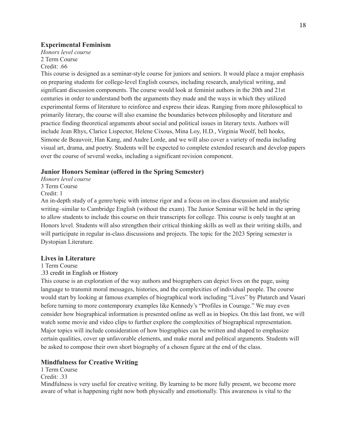#### **Experimental Feminism**

*Honors level course* 2 Term Course Credit: 66

This course is designed as a seminar-style course for juniors and seniors. It would place a major emphasis on preparing students for college-level English courses, including research, analytical writing, and significant discussion components. The course would look at feminist authors in the 20th and 21st centuries in order to understand both the arguments they made and the ways in which they utilized experimental forms of literature to reinforce and express their ideas. Ranging from more philosophical to primarily literary, the course will also examine the boundaries between philosophy and literature and practice finding theoretical arguments about social and political issues in literary texts. Authors will include Jean Rhys, Clarice Lispector, Helene Cixous, Mina Loy, H.D., Virginia Woolf, bell hooks, Simone de Beauvoir, Han Kang, and Audre Lorde, and we will also cover a variety of media including visual art, drama, and poetry. Students will be expected to complete extended research and develop papers over the course of several weeks, including a significant revision component.

#### **Junior Honors Seminar (offered in the Spring Semester)**

*Honors level course* 3 Term Course Credit: 1

An in-depth study of a genre/topic with intense rigor and a focus on in-class discussion and analytic writing–similar to Cambridge English (without the exam). The Junior Seminar will be held in the spring to allow students to include this course on their transcripts for college. This course is only taught at an Honors level. Students will also strengthen their critical thinking skills as well as their writing skills, and will participate in regular in-class discussions and projects. The topic for the 2023 Spring semester is Dystopian Literature.

#### **Lives in Literature**

1 Term Course

.33 credit in English or History

This course is an exploration of the way authors and biographers can depict lives on the page, using language to transmit moral messages, histories, and the complexities of individual people. The course would start by looking at famous examples of biographical work including "Lives" by Plutarch and Vasari before turning to more contemporary examples like Kennedy's "Profiles in Courage." We may even consider how biographical information is presented online as well as in biopics. On this last front, we will watch some movie and video clips to further explore the complexities of biographical representation. Major topics will include consideration of how biographies can be written and shaped to emphasize certain qualities, cover up unfavorable elements, and make moral and political arguments. Students will be asked to compose their own short biography of a chosen figure at the end of the class.

#### **Mindfulness for Creative Writing**

1 Term Course Credit: .33 Mindfulness is very useful for creative writing. By learning to be more fully present, we become more aware of what is happening right now both physically and emotionally. This awareness is vital to the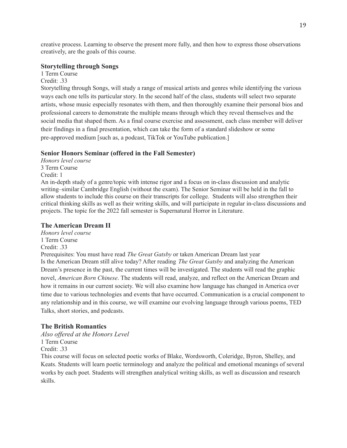creative process. Learning to observe the present more fully, and then how to express those observations creatively, are the goals of this course.

#### **Storytelling through Songs**

1 Term Course Credit: .33

Storytelling through Songs, will study a range of musical artists and genres while identifying the various ways each one tells its particular story. In the second half of the class, students will select two separate artists, whose music especially resonates with them, and then thoroughly examine their personal bios and professional careers to demonstrate the multiple means through which they reveal themselves and the social media that shaped them. As a final course exercise and assessment, each class member will deliver their findings in a final presentation, which can take the form of a standard slideshow or some pre-approved medium [such as, a podcast, TikTok or YouTube publication.]

### **Senior Honors Seminar (offered in the Fall Semester)**

*Honors level course* 3 Term Course Credit: 1

An in-depth study of a genre/topic with intense rigor and a focus on in-class discussion and analytic writing–similar Cambridge English (without the exam). The Senior Seminar will be held in the fall to allow students to include this course on their transcripts for college. Students will also strengthen their critical thinking skills as well as their writing skills, and will participate in regular in-class discussions and projects. The topic for the 2022 fall semester is Supernatural Horror in Literature.

#### **The American Dream II**

*Honors level course* 1 Term Course Credit: 33 Prerequisites: You must have read *The Great Gatsby* or taken American Dream last year Is the American Dream still alive today? After reading *The Great Gatsby* and analyzing the American Dream's presence in the past, the current times will be investigated. The students will read the graphic novel, *American Born Chinese*. The students will read, analyze, and reflect on the American Dream and how it remains in our current society. We will also examine how language has changed in America over time due to various technologies and events that have occurred. Communication is a crucial component to any relationship and in this course, we will examine our evolving language through various poems, TED Talks, short stories, and podcasts.

#### **The British Romantics**

*Also offered at the Honors Level* 1 Term Course

Credit: .33

This course will focus on selected poetic works of Blake, Wordsworth, Coleridge, Byron, Shelley, and Keats. Students will learn poetic terminology and analyze the political and emotional meanings of several works by each poet. Students will strengthen analytical writing skills, as well as discussion and research skills.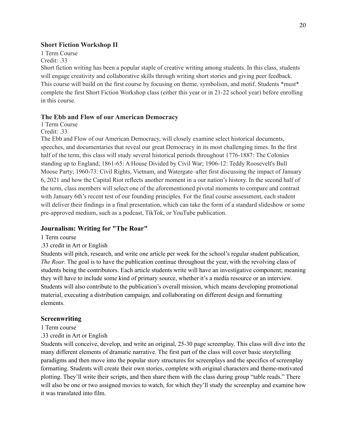#### **Short Fiction Workshop II**

1 Term Course

Credit: .33

Short fiction writing has been a popular staple of creative writing among students. In this class, students will engage creativity and collaborative skills through writing short stories and giving peer feedback. This course will build on the first course by focusing on theme, symbolism, and motif. Students \*must\* complete the first Short Fiction Workshop class (either this year or in 21-22 school year) before enrolling in this course.

### **The Ebb and Flow of our American Democracy**

1 Term Course

Credit: .33

The Ebb and Flow of our American Democracy, will closely examine select historical documents, speeches, and documentaries that reveal our great Democracy in its most challenging times. In the first half of the term, this class will study several historical periods throughout 1776-1887: The Colonies standing up to England; 1861-65: A House Divided by Civil War; 1906-12: Teddy Roosevelt's Bull Moose Party; 1960-73: Civil Rights, Vietnam, and Watergate–after first discussing the impact of January 6, 2021 and how the Capital Riot reflects another moment in a our nation's history. In the second half of the term, class members will select one of the aforementioned pivotal moments to compare and contrast with January 6th's recent test of our founding principles. For the final course assessment, each student will deliver their findings in a final presentation, which can take the form of a standard slideshow or some pre-approved medium, such as a podcast, TikTok, or YouTube publication.

#### **Journalism: Writing for "The Roar"**

1 Term course

#### .33 credit in Art or English

Students will pitch, research, and write one article per week for the school's regular student publication, *The Roar*. The goal is to have the publication continue throughout the year, with the revolving class of students being the contributors. Each article students write will have an investigative component; meaning they will have to include some kind of primary source, whether it's a media resource or an interview. Students will also contribute to the publication's overall mission, which means developing promotional material, executing a distribution campaign, and collaborating on different design and formatting elements.

#### **Screenwriting**

#### 1 Term course

.33 credit in Art or English

Students will conceive, develop, and write an original, 25-30 page screenplay. This class will dive into the many different elements of dramatic narrative. The first part of the class will cover basic storytelling paradigms and then move into the popular story structures for screenplays and the specifics of screenplay formatting. Students will create their own stories, complete with original characters and theme-motivated plotting. They'll write their scripts, and then share them with the class during group "table reads." There will also be one or two assigned movies to watch, for which they'll study the screenplay and examine how it was translated into film.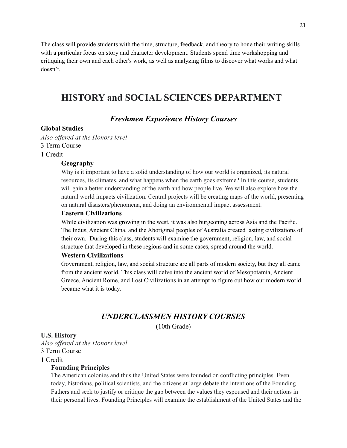The class will provide students with the time, structure, feedback, and theory to hone their writing skills with a particular focus on story and character development. Students spend time workshopping and critiquing their own and each other's work, as well as analyzing films to discover what works and what doesn't.

# **HISTORY and SOCIAL SCIENCES DEPARTMENT**

# *Freshmen Experience History Courses*

#### **Global Studies**

*Also offered at the Honors level* 3 Term Course

1 Credit

#### **Geography**

Why is it important to have a solid understanding of how our world is organized, its natural resources, its climates, and what happens when the earth goes extreme? In this course, students will gain a better understanding of the earth and how people live. We will also explore how the natural world impacts civilization. Central projects will be creating maps of the world, presenting on natural disasters/phenomena, and doing an environmental impact assessment.

#### **Eastern Civilizations**

While civilization was growing in the west, it was also burgeoning across Asia and the Pacific. The Indus, Ancient China, and the Aboriginal peoples of Australia created lasting civilizations of their own. During this class, students will examine the government, religion, law, and social structure that developed in these regions and in some cases, spread around the world.

#### **Western Civilizations**

Government, religion, law, and social structure are all parts of modern society, but they all came from the ancient world. This class will delve into the ancient world of Mesopotamia, Ancient Greece, Ancient Rome, and Lost Civilizations in an attempt to figure out how our modern world became what it is today.

# *UNDERCLASSMEN HISTORY COURSES*

(10th Grade)

#### **U.S. History**

*Also offered at the Honors level* 3 Term Course

#### 1 Credit

#### **Founding Principles**

The American colonies and thus the United States were founded on conflicting principles. Even today, historians, political scientists, and the citizens at large debate the intentions of the Founding Fathers and seek to justify or critique the gap between the values they espoused and their actions in their personal lives. Founding Principles will examine the establishment of the United States and the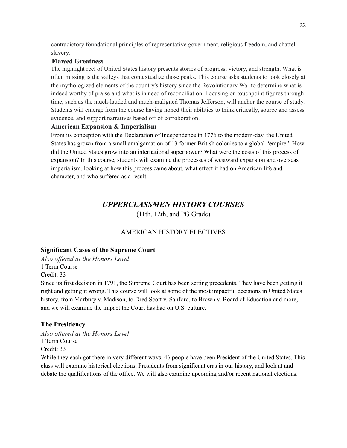contradictory foundational principles of representative government, religious freedom, and chattel slavery.

# **Flawed Greatness**

The highlight reel of United States history presents stories of progress, victory, and strength. What is often missing is the valleys that contextualize those peaks. This course asks students to look closely at the mythologized elements of the country's history since the Revolutionary War to determine what is indeed worthy of praise and what is in need of reconciliation. Focusing on touchpoint figures through time, such as the much-lauded and much-maligned Thomas Jefferson, will anchor the course of study. Students will emerge from the course having honed their abilities to think critically, source and assess evidence, and support narratives based off of corroboration.

# **American Expansion & Imperialism**

From its conception with the Declaration of Independence in 1776 to the modern-day, the United States has grown from a small amalgamation of 13 former British colonies to a global "empire". How did the United States grow into an international superpower? What were the costs of this process of expansion? In this course, students will examine the processes of westward expansion and overseas imperialism, looking at how this process came about, what effect it had on American life and character, and who suffered as a result.

# *UPPERCLASSMEN HISTORY COURSES*

(11th, 12th, and PG Grade)

# AMERICAN HISTORY ELECTIVES

# **Significant Cases of the Supreme Court**

*Also offered at the Honors Level* 1 Term Course Credit: 33

Since its first decision in 1791, the Supreme Court has been setting precedents. They have been getting it right and getting it wrong. This course will look at some of the most impactful decisions in United States history, from Marbury v. Madison, to Dred Scott v. Sanford, to Brown v. Board of Education and more, and we will examine the impact the Court has had on U.S. culture.

# **The Presidency**

*Also offered at the Honors Level* 1 Term Course Credit: 33

While they each got there in very different ways, 46 people have been President of the United States. This class will examine historical elections, Presidents from significant eras in our history, and look at and debate the qualifications of the office. We will also examine upcoming and/or recent national elections.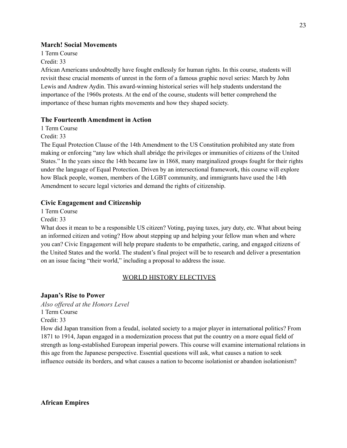#### **March! Social Movements**

1 Term Course Credit: 33

African Americans undoubtedly have fought endlessly for human rights. In this course, students will revisit these crucial moments of unrest in the form of a famous graphic novel series: March by John Lewis and Andrew Aydin. This award-winning historical series will help students understand the importance of the 1960s protests. At the end of the course, students will better comprehend the importance of these human rights movements and how they shaped society.

### **The Fourteenth Amendment in Action**

1 Term Course

Credit: 33

The Equal Protection Clause of the 14th Amendment to the US Constitution prohibited any state from making or enforcing "any law which shall abridge the privileges or immunities of citizens of the United States." In the years since the 14th became law in 1868, many marginalized groups fought for their rights under the language of Equal Protection. Driven by an intersectional framework, this course will explore how Black people, women, members of the LGBT community, and immigrants have used the 14th Amendment to secure legal victories and demand the rights of citizenship.

### **Civic Engagement and Citizenship**

1 Term Course

Credit: 33

What does it mean to be a responsible US citizen? Voting, paying taxes, jury duty, etc. What about being an informed citizen and voting? How about stepping up and helping your fellow man when and where you can? Civic Engagement will help prepare students to be empathetic, caring, and engaged citizens of the United States and the world. The student's final project will be to research and deliver a presentation on an issue facing "their world," including a proposal to address the issue.

# WORLD HISTORY ELECTIVES

# **Japan's Rise to Power**

*Also offered at the Honors Level* 1 Term Course Credit: 33

How did Japan transition from a feudal, isolated society to a major player in international politics? From 1871 to 1914, Japan engaged in a modernization process that put the country on a more equal field of strength as long-established European imperial powers. This course will examine international relations in this age from the Japanese perspective. Essential questions will ask, what causes a nation to seek influence outside its borders, and what causes a nation to become isolationist or abandon isolationism?

**African Empires**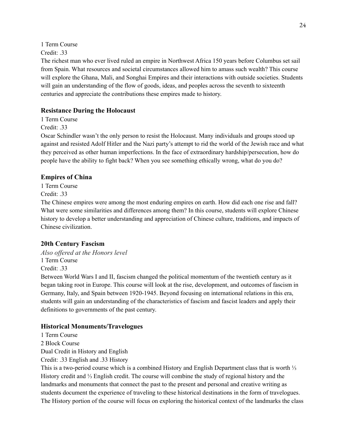1 Term Course

Credit: 33

The richest man who ever lived ruled an empire in Northwest Africa 150 years before Columbus set sail from Spain. What resources and societal circumstances allowed him to amass such wealth? This course will explore the Ghana, Mali, and Songhai Empires and their interactions with outside societies. Students will gain an understanding of the flow of goods, ideas, and peoples across the seventh to sixteenth centuries and appreciate the contributions these empires made to history.

# **Resistance During the Holocaust**

1 Term Course Credit: 33

Oscar Schindler wasn't the only person to resist the Holocaust. Many individuals and groups stood up against and resisted Adolf Hitler and the Nazi party's attempt to rid the world of the Jewish race and what they perceived as other human imperfections. In the face of extraordinary hardship/persecution, how do people have the ability to fight back? When you see something ethically wrong, what do you do?

# **Empires of China**

1 Term Course Credit: .33

The Chinese empires were among the most enduring empires on earth. How did each one rise and fall? What were some similarities and differences among them? In this course, students will explore Chinese history to develop a better understanding and appreciation of Chinese culture, traditions, and impacts of Chinese civilization.

# **20th Century Fascism**

*Also offered at the Honors level* 1 Term Course Credit: .33

Between World Wars I and II, fascism changed the political momentum of the twentieth century as it began taking root in Europe. This course will look at the rise, development, and outcomes of fascism in Germany, Italy, and Spain between 1920-1945. Beyond focusing on international relations in this era, students will gain an understanding of the characteristics of fascism and fascist leaders and apply their definitions to governments of the past century.

# **Historical Monuments/Travelogues**

1 Term Course

2 Block Course Dual Credit in History and English Credit: .33 English and .33 History

This is a two-period course which is a combined History and English Department class that is worth ⅓ History credit and ⅓ English credit. The course will combine the study of regional history and the landmarks and monuments that connect the past to the present and personal and creative writing as students document the experience of traveling to these historical destinations in the form of travelogues. The History portion of the course will focus on exploring the historical context of the landmarks the class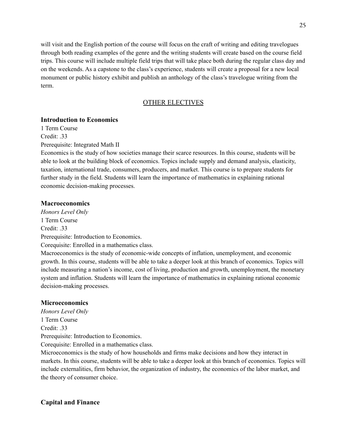will visit and the English portion of the course will focus on the craft of writing and editing travelogues through both reading examples of the genre and the writing students will create based on the course field trips. This course will include multiple field trips that will take place both during the regular class day and on the weekends. As a capstone to the class's experience, students will create a proposal for a new local monument or public history exhibit and publish an anthology of the class's travelogue writing from the term.

# OTHER ELECTIVES

#### **Introduction to Economics**

1 Term Course Credit: .33

Prerequisite: Integrated Math II

Economics is the study of how societies manage their scarce resources. In this course, students will be able to look at the building block of economics. Topics include supply and demand analysis, elasticity, taxation, international trade, consumers, producers, and market. This course is to prepare students for further study in the field. Students will learn the importance of mathematics in explaining rational economic decision-making processes.

#### **Macroeconomics**

*Honors Level Only* 1 Term Course  $Credit: 33$ Prerequisite: Introduction to Economics. Corequisite: Enrolled in a mathematics class. Macroeconomics is the study of economic-wide concepts of inflation, unemployment, and economic

growth. In this course, students will be able to take a deeper look at this branch of economics. Topics will include measuring a nation's income, cost of living, production and growth, unemployment, the monetary system and inflation. Students will learn the importance of mathematics in explaining rational economic decision-making processes.

#### **Microeconomics**

*Honors Level Only* 1 Term Course Credit: .33 Prerequisite: Introduction to Economics. Corequisite: Enrolled in a mathematics class.

Microeconomics is the study of how households and firms make decisions and how they interact in markets. In this course, students will be able to take a deeper look at this branch of economics. Topics will include externalities, firm behavior, the organization of industry, the economics of the labor market, and the theory of consumer choice.

#### **Capital and Finance**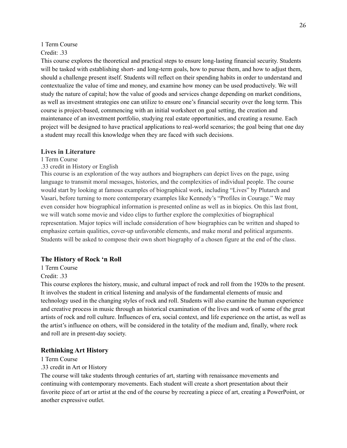1 Term Course

# Credit: 33

This course explores the theoretical and practical steps to ensure long-lasting financial security. Students will be tasked with establishing short- and long-term goals, how to pursue them, and how to adjust them, should a challenge present itself. Students will reflect on their spending habits in order to understand and contextualize the value of time and money, and examine how money can be used productively. We will study the nature of capital; how the value of goods and services change depending on market conditions, as well as investment strategies one can utilize to ensure one's financial security over the long term. This course is project-based, commencing with an initial worksheet on goal setting, the creation and maintenance of an investment portfolio, studying real estate opportunities, and creating a resume. Each project will be designed to have practical applications to real-world scenarios; the goal being that one day a student may recall this knowledge when they are faced with such decisions.

#### **Lives in Literature**

1 Term Course

.33 credit in History or English

This course is an exploration of the way authors and biographers can depict lives on the page, using language to transmit moral messages, histories, and the complexities of individual people. The course would start by looking at famous examples of biographical work, including "Lives" by Plutarch and Vasari, before turning to more contemporary examples like Kennedy's "Profiles in Courage." We may even consider how biographical information is presented online as well as in biopics. On this last front, we will watch some movie and video clips to further explore the complexities of biographical representation. Major topics will include consideration of how biographies can be written and shaped to emphasize certain qualities, cover-up unfavorable elements, and make moral and political arguments. Students will be asked to compose their own short biography of a chosen figure at the end of the class.

#### **The History of Rock 'n Roll**

1 Term Course

#### Credit: .33

This course explores the history, music, and cultural impact of rock and roll from the 1920s to the present. It involves the student in critical listening and analysis of the fundamental elements of music and technology used in the changing styles of rock and roll. Students will also examine the human experience and creative process in music through an historical examination of the lives and work of some of the great artists of rock and roll culture. Influences of era, social context, and life experience on the artist, as well as the artist's influence on others, will be considered in the totality of the medium and, finally, where rock and roll are in present-day society.

#### **Rethinking Art History**

#### 1 Term Course

#### .33 credit in Art or History

The course will take students through centuries of art, starting with renaissance movements and continuing with contemporary movements. Each student will create a short presentation about their favorite piece of art or artist at the end of the course by recreating a piece of art, creating a PowerPoint, or another expressive outlet.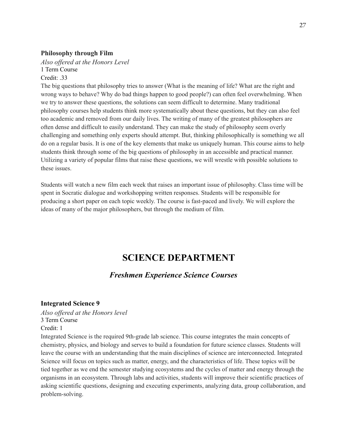#### **Philosophy through Film**

*Also offered at the Honors Level* 1 Term Course Credit: .33

The big questions that philosophy tries to answer (What is the meaning of life? What are the right and wrong ways to behave? Why do bad things happen to good people?) can often feel overwhelming. When we try to answer these questions, the solutions can seem difficult to determine. Many traditional philosophy courses help students think more systematically about these questions, but they can also feel too academic and removed from our daily lives. The writing of many of the greatest philosophers are often dense and difficult to easily understand. They can make the study of philosophy seem overly challenging and something only experts should attempt. But, thinking philosophically is something we all do on a regular basis. It is one of the key elements that make us uniquely human. This course aims to help students think through some of the big questions of philosophy in an accessible and practical manner. Utilizing a variety of popular films that raise these questions, we will wrestle with possible solutions to these issues.

Students will watch a new film each week that raises an important issue of philosophy. Class time will be spent in Socratic dialogue and workshopping written responses. Students will be responsible for producing a short paper on each topic weekly. The course is fast-paced and lively. We will explore the ideas of many of the major philosophers, but through the medium of film.

# **SCIENCE DEPARTMENT**

# *Freshmen Experience Science Courses*

#### **Integrated Science 9**

*Also offered at the Honors level* 3 Term Course Credit: 1

Integrated Science is the required 9th-grade lab science. This course integrates the main concepts of chemistry, physics, and biology and serves to build a foundation for future science classes. Students will leave the course with an understanding that the main disciplines of science are interconnected. Integrated Science will focus on topics such as matter, energy, and the characteristics of life. These topics will be tied together as we end the semester studying ecosystems and the cycles of matter and energy through the organisms in an ecosystem. Through labs and activities, students will improve their scientific practices of asking scientific questions, designing and executing experiments, analyzing data, group collaboration, and problem-solving.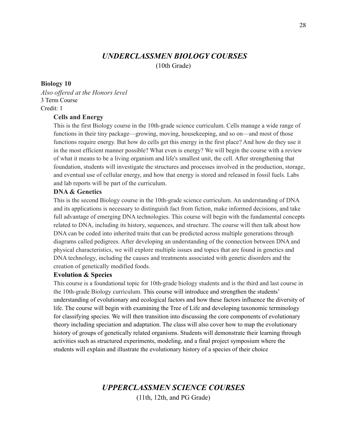# *UNDERCLASSMEN BIOLOGY COURSES* (10th Grade)

#### **Biology 10**

*Also offered at the Honors level* 3 Term Course Credit: 1

#### **Cells and Energy**

This is the first Biology course in the 10th-grade science curriculum. Cells manage a wide range of functions in their tiny package—growing, moving, housekeeping, and so on—and most of those functions require energy. But how do cells get this energy in the first place? And how do they use it in the most efficient manner possible? What even is energy? We will begin the course with a review of what it means to be a living organism and life's smallest unit, the cell. After strengthening that foundation, students will investigate the structures and processes involved in the production, storage, and eventual use of cellular energy, and how that energy is stored and released in fossil fuels. Labs and lab reports will be part of the curriculum.

#### **DNA & Genetics**

This is the second Biology course in the 10th-grade science curriculum. An understanding of DNA and its applications is necessary to distinguish fact from fiction, make informed decisions, and take full advantage of emerging DNA technologies. This course will begin with the fundamental concepts related to DNA, including its history, sequences, and structure. The course will then talk about how DNA can be coded into inherited traits that can be predicted across multiple generations through diagrams called pedigrees. After developing an understanding of the connection between DNA and physical characteristics, we will explore multiple issues and topics that are found in genetics and DNA technology, including the causes and treatments associated with genetic disorders and the creation of genetically modified foods.

#### **Evolution & Species**

This course is a foundational topic for 10th-grade biology students and is the third and last course in the 10th-grade Biology curriculum. This course will introduce and strengthen the students' understanding of evolutionary and ecological factors and how these factors influence the diversity of life. The course will begin with examining the Tree of Life and developing taxonomic terminology for classifying species. We will then transition into discussing the core components of evolutionary theory including speciation and adaptation. The class will also cover how to map the evolutionary history of groups of genetically related organisms. Students will demonstrate their learning through activities such as structured experiments, modeling, and a final project symposium where the students will explain and illustrate the evolutionary history of a species of their choice

# *UPPERCLASSMEN SCIENCE COURSES*

(11th, 12th, and PG Grade)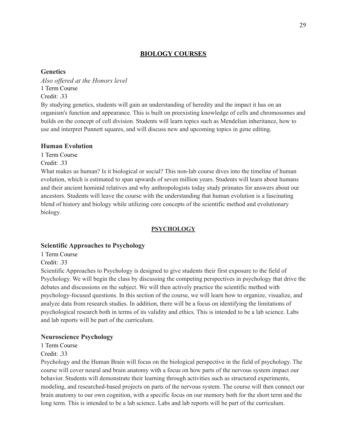# **BIOLOGY COURSES**

#### **Genetics**

*Also offered at the Honors level* 1 Term Course Credit: 33

By studying genetics, students will gain an understanding of heredity and the impact it has on an organism's function and appearance. This is built on preexisting knowledge of cells and chromosomes and builds on the concept of cell division. Students will learn topics such as Mendelian inheritance, how to use and interpret Punnett squares, and will discuss new and upcoming topics in gene editing.

#### **Human Evolution**

1 Term Course

Credit: 33

What makes us human? Is it biological or social? This non-lab course dives into the timeline of human evolution, which is estimated to span upwards of seven million years. Students will learn about humans and their ancient hominid relatives and why anthropologists today study primates for answers about our ancestors. Students will leave the course with the understanding that human evolution is a fascinating blend of history and biology while utilizing core concepts of the scientific method and evolutionary biology.

#### **PSYCHOLOGY**

#### **Scientific Approaches to Psychology**

1 Term Course

Credit: .33

Scientific Approaches to Psychology is designed to give students their first exposure to the field of Psychology. We will begin the class by discussing the competing perspectives in psychology that drive the debates and discussions on the subject. We will then actively practice the scientific method with psychology-focused questions. In this section of the course, we will learn how to organize, visualize, and analyze data from research studies. In addition, there will be a focus on identifying the limitations of psychological research both in terms of its validity and ethics. This is intended to be a lab science. Labs and lab reports will be part of the curriculum.

#### **Neuroscience Psychology**

1 Term Course

#### Credit: .33

Psychology and the Human Brain will focus on the biological perspective in the field of psychology. The course will cover neural and brain anatomy with a focus on how parts of the nervous system impact our behavior. Students will demonstrate their learning through activities such as structured experiments, modeling, and researched-based projects on parts of the nervous system. The course will then connect our brain anatomy to our own cognition, with a specific focus on our memory both for the short term and the long term. This is intended to be a lab science. Labs and lab reports will be part of the curriculum.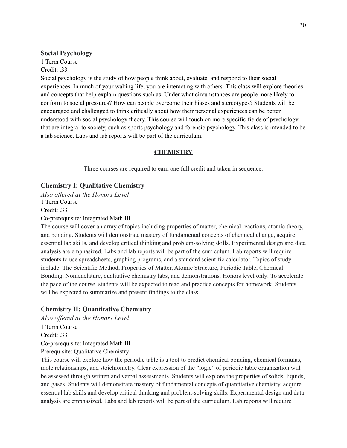#### **Social Psychology**

1 Term Course Credit: .33

Social psychology is the study of how people think about, evaluate, and respond to their social experiences. In much of your waking life, you are interacting with others. This class will explore theories and concepts that help explain questions such as: Under what circumstances are people more likely to conform to social pressures? How can people overcome their biases and stereotypes? Students will be encouraged and challenged to think critically about how their personal experiences can be better understood with social psychology theory. This course will touch on more specific fields of psychology that are integral to society, such as sports psychology and forensic psychology. This class is intended to be a lab science. Labs and lab reports will be part of the curriculum.

#### **CHEMISTRY**

Three courses are required to earn one full credit and taken in sequence.

#### **Chemistry I: Qualitative Chemistry**

*Also offered at the Honors Level* 1 Term Course Credit: .33

#### Co-prerequisite: Integrated Math III

The course will cover an array of topics including properties of matter, chemical reactions, atomic theory, and bonding. Students will demonstrate mastery of fundamental concepts of chemical change, acquire essential lab skills, and develop critical thinking and problem-solving skills. Experimental design and data analysis are emphasized. Labs and lab reports will be part of the curriculum. Lab reports will require students to use spreadsheets, graphing programs, and a standard scientific calculator. Topics of study include: The Scientific Method, Properties of Matter, Atomic Structure, Periodic Table, Chemical Bonding, Nomenclature, qualitative chemistry labs, and demonstrations. Honors level only: To accelerate the pace of the course, students will be expected to read and practice concepts for homework. Students will be expected to summarize and present findings to the class.

#### **Chemistry II: Quantitative Chemistry**

*Also offered at the Honors Level* 1 Term Course Credit: .33 Co-prerequisite: Integrated Math III Prerequisite: Qualitative Chemistry

This course will explore how the periodic table is a tool to predict chemical bonding, chemical formulas, mole relationships, and stoichiometry. Clear expression of the "logic" of periodic table organization will be assessed through written and verbal assessments. Students will explore the properties of solids, liquids, and gases. Students will demonstrate mastery of fundamental concepts of quantitative chemistry, acquire essential lab skills and develop critical thinking and problem-solving skills. Experimental design and data analysis are emphasized. Labs and lab reports will be part of the curriculum. Lab reports will require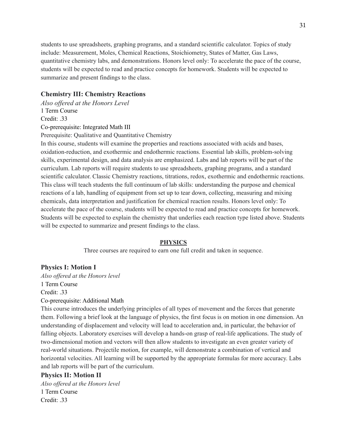students to use spreadsheets, graphing programs, and a standard scientific calculator. Topics of study include: Measurement, Moles, Chemical Reactions, Stoichiometry, States of Matter, Gas Laws, quantitative chemistry labs, and demonstrations. Honors level only: To accelerate the pace of the course, students will be expected to read and practice concepts for homework. Students will be expected to summarize and present findings to the class.

#### **Chemistry III: Chemistry Reactions**

*Also offered at the Honors Level* 1 Term Course Credit: .33 Co-prerequisite: Integrated Math III

Prerequisite: Qualitative and Quantitative Chemistry

In this course, students will examine the properties and reactions associated with acids and bases, oxidation-reduction, and exothermic and endothermic reactions. Essential lab skills, problem-solving skills, experimental design, and data analysis are emphasized. Labs and lab reports will be part of the curriculum. Lab reports will require students to use spreadsheets, graphing programs, and a standard scientific calculator. Classic Chemistry reactions, titrations, redox, exothermic and endothermic reactions. This class will teach students the full continuum of lab skills: understanding the purpose and chemical reactions of a lab, handling of equipment from set up to tear down, collecting, measuring and mixing chemicals, data interpretation and justification for chemical reaction results. Honors level only: To accelerate the pace of the course, students will be expected to read and practice concepts for homework. Students will be expected to explain the chemistry that underlies each reaction type listed above. Students will be expected to summarize and present findings to the class.

#### **PHYSICS**

Three courses are required to earn one full credit and taken in sequence.

#### **Physics I: Motion I**

*Also of ered at the Honors level* 1 Term Course Credit: .33 Co-prerequisite: Additional Math

This course introduces the underlying principles of all types of movement and the forces that generate them. Following a brief look at the language of physics, the first focus is on motion in one dimension. An understanding of displacement and velocity will lead to acceleration and, in particular, the behavior of falling objects. Laboratory exercises will develop a hands-on grasp of real-life applications. The study of two-dimensional motion and vectors will then allow students to investigate an even greater variety of real-world situations. Projectile motion, for example, will demonstrate a combination of vertical and horizontal velocities. All learning will be supported by the appropriate formulas for more accuracy. Labs and lab reports will be part of the curriculum.

#### **Physics II: Motion II**

*Also of ered at the Honors level* 1 Term Course Credit: .33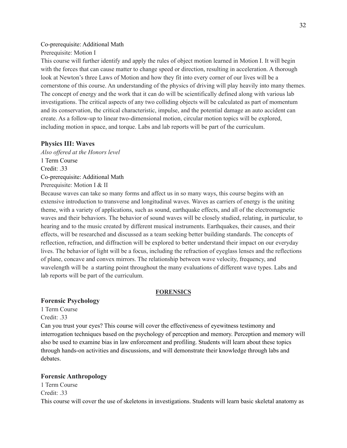#### Co-prerequisite: Additional Math

Prerequisite: Motion I

This course will further identify and apply the rules of object motion learned in Motion I. It will begin with the forces that can cause matter to change speed or direction, resulting in acceleration. A thorough look at Newton's three Laws of Motion and how they fit into every corner of our lives will be a cornerstone of this course. An understanding of the physics of driving will play heavily into many themes. The concept of energy and the work that it can do will be scientifically defined along with various lab investigations. The critical aspects of any two colliding objects will be calculated as part of momentum and its conservation, the critical characteristic, impulse, and the potential damage an auto accident can create. As a follow-up to linear two-dimensional motion, circular motion topics will be explored, including motion in space, and torque. Labs and lab reports will be part of the curriculum.

#### **Physics III: Waves**

*Also of ered at the Honors level* 1 Term Course Credit: .33 Co-prerequisite: Additional Math Prerequisite: Motion I & II

Because waves can take so many forms and affect us in so many ways, this course begins with an extensive introduction to transverse and longitudinal waves. Waves as carriers of energy is the uniting theme, with a variety of applications, such as sound, earthquake effects, and all of the electromagnetic waves and their behaviors. The behavior of sound waves will be closely studied, relating, in particular, to hearing and to the music created by different musical instruments. Earthquakes, their causes, and their effects, will be researched and discussed as a team seeking better building standards. The concepts of reflection, refraction, and diffraction will be explored to better understand their impact on our everyday lives. The behavior of light will be a focus, including the refraction of eyeglass lenses and the reflections of plane, concave and convex mirrors. The relationship between wave velocity, frequency, and wavelength will be a starting point throughout the many evaluations of different wave types. Labs and lab reports will be part of the curriculum.

#### **FORENSICS**

#### **Forensic Psychology**

1 Term Course Credit: .33

Can you trust your eyes? This course will cover the effectiveness of eyewitness testimony and interrogation techniques based on the psychology of perception and memory. Perception and memory will also be used to examine bias in law enforcement and profiling. Students will learn about these topics through hands-on activities and discussions, and will demonstrate their knowledge through labs and debates.

#### **Forensic Anthropology**

1 Term Course Credit: .33 This course will cover the use of skeletons in investigations. Students will learn basic skeletal anatomy as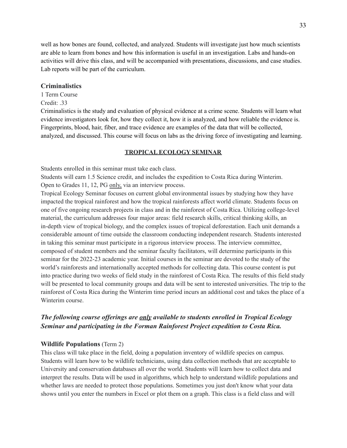well as how bones are found, collected, and analyzed. Students will investigate just how much scientists are able to learn from bones and how this information is useful in an investigation. Labs and hands-on activities will drive this class, and will be accompanied with presentations, discussions, and case studies. Lab reports will be part of the curriculum.

#### **Criminalistics**

1 Term Course

# Credit: .33

Criminalistics is the study and evaluation of physical evidence at a crime scene. Students will learn what evidence investigators look for, how they collect it, how it is analyzed, and how reliable the evidence is. Fingerprints, blood, hair, fiber, and trace evidence are examples of the data that will be collected, analyzed, and discussed. This course will focus on labs as the driving force of investigating and learning.

#### **TROPICAL ECOLOGY SEMINAR**

Students enrolled in this seminar must take each class.

Students will earn 1.5 Science credit, and includes the expedition to Costa Rica during Winterim. Open to Grades 11, 12, PG only, via an interview process.

Tropical Ecology Seminar focuses on current global environmental issues by studying how they have impacted the tropical rainforest and how the tropical rainforests affect world climate. Students focus on one of five ongoing research projects in class and in the rainforest of Costa Rica. Utilizing college-level material, the curriculum addresses four major areas: field research skills, critical thinking skills, an in-depth view of tropical biology, and the complex issues of tropical deforestation. Each unit demands a considerable amount of time outside the classroom conducting independent research. Students interested in taking this seminar must participate in a rigorous interview process. The interview committee, composed of student members and the seminar faculty facilitators, will determine participants in this seminar for the 2022-23 academic year. Initial courses in the seminar are devoted to the study of the world's rainforests and internationally accepted methods for collecting data. This course content is put into practice during two weeks of field study in the rainforest of Costa Rica. The results of this field study will be presented to local community groups and data will be sent to interested universities. The trip to the rainforest of Costa Rica during the Winterim time period incurs an additional cost and takes the place of a Winterim course.

# *The following course offerings are only available to students enrolled in Tropical Ecology Seminar and participating in the Forman Rainforest Project expedition to Costa Rica.*

#### **Wildlife Populations** (Term 2)

This class will take place in the field, doing a population inventory of wildlife species on campus. Students will learn how to be wildlife technicians, using data collection methods that are acceptable to University and conservation databases all over the world. Students will learn how to collect data and interpret the results. Data will be used in algorithms, which help to understand wildlife populations and whether laws are needed to protect those populations. Sometimes you just don't know what your data shows until you enter the numbers in Excel or plot them on a graph. This class is a field class and will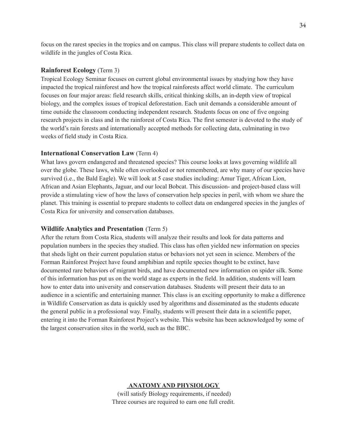focus on the rarest species in the tropics and on campus. This class will prepare students to collect data on wildlife in the jungles of Costa Rica.

#### **Rainforest Ecology** (Term 3)

Tropical Ecology Seminar focuses on current global environmental issues by studying how they have impacted the tropical rainforest and how the tropical rainforests affect world climate. The curriculum focuses on four major areas: field research skills, critical thinking skills, an in-depth view of tropical biology, and the complex issues of tropical deforestation. Each unit demands a considerable amount of time outside the classroom conducting independent research. Students focus on one of five ongoing research projects in class and in the rainforest of Costa Rica. The first semester is devoted to the study of the world's rain forests and internationally accepted methods for collecting data, culminating in two weeks of field study in Costa Rica.

#### **International Conservation Law** (Term 4)

What laws govern endangered and threatened species? This course looks at laws governing wildlife all over the globe. These laws, while often overlooked or not remembered, are why many of our species have survived (i.e., the Bald Eagle). We will look at 5 case studies including: Amur Tiger, African Lion, African and Asian Elephants, Jaguar, and our local Bobcat. This discussion- and project-based class will provide a stimulating view of how the laws of conservation help species in peril, with whom we share the planet. This training is essential to prepare students to collect data on endangered species in the jungles of Costa Rica for university and conservation databases.

#### **Wildlife Analytics and Presentation** (Term 5)

After the return from Costa Rica, students will analyze their results and look for data patterns and population numbers in the species they studied. This class has often yielded new information on species that sheds light on their current population status or behaviors not yet seen in science. Members of the Forman Rainforest Project have found amphibian and reptile species thought to be extinct, have documented rare behaviors of migrant birds, and have documented new information on spider silk. Some of this information has put us on the world stage as experts in the field. In addition, students will learn how to enter data into university and conservation databases. Students will present their data to an audience in a scientific and entertaining manner. This class is an exciting opportunity to make a difference in Wildlife Conservation as data is quickly used by algorithms and disseminated as the students educate the general public in a professional way. Finally, students will present their data in a scientific paper, entering it into the Forman Rainforest Project's website. This website has been acknowledged by some of the largest conservation sites in the world, such as the BBC.

#### **ANATOMY AND PHYSIOLOGY**

(will satisfy Biology requirements, if needed) Three courses are required to earn one full credit.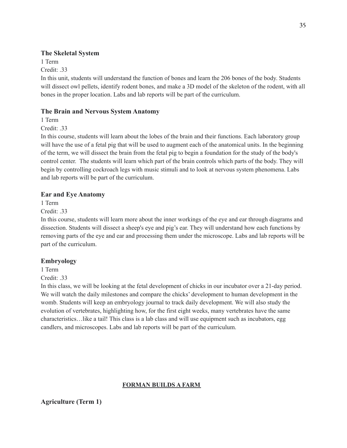### **The Skeletal System**

1 Term

Credit: .33

In this unit, students will understand the function of bones and learn the 206 bones of the body. Students will dissect owl pellets, identify rodent bones, and make a 3D model of the skeleton of the rodent, with all bones in the proper location. Labs and lab reports will be part of the curriculum.

# **The Brain and Nervous System Anatomy**

1 Term

Credit: .33

In this course, students will learn about the lobes of the brain and their functions. Each laboratory group will have the use of a fetal pig that will be used to augment each of the anatomical units. In the beginning of the term, we will dissect the brain from the fetal pig to begin a foundation for the study of the body's control center. The students will learn which part of the brain controls which parts of the body. They will begin by controlling cockroach legs with music stimuli and to look at nervous system phenomena. Labs and lab reports will be part of the curriculum.

### **Ear and Eye Anatomy**

1 Term

Credit: 33

In this course, students will learn more about the inner workings of the eye and ear through diagrams and dissection. Students will dissect a sheep's eye and pig's ear. They will understand how each functions by removing parts of the eye and ear and processing them under the microscope. Labs and lab reports will be part of the curriculum.

#### **Embryology**

1 Term

Credit: .33

In this class, we will be looking at the fetal development of chicks in our incubator over a 21-day period. We will watch the daily milestones and compare the chicks' development to human development in the womb. Students will keep an embryology journal to track daily development. We will also study the evolution of vertebrates, highlighting how, for the first eight weeks, many vertebrates have the same characteristics…like a tail! This class is a lab class and will use equipment such as incubators, egg candlers, and microscopes. Labs and lab reports will be part of the curriculum.

# **FORMAN BUILDS A FARM**

# **Agriculture (Term 1)**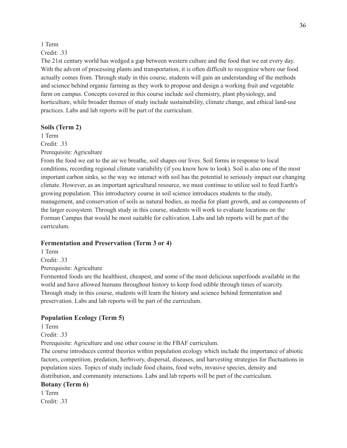# 1 Term

### Credit: 33

The 21st century world has wedged a gap between western culture and the food that we eat every day. With the advent of processing plants and transportation, it is often difficult to recognize where our food actually comes from. Through study in this course, students will gain an understanding of the methods and science behind organic farming as they work to propose and design a working fruit and vegetable farm on campus. Concepts covered in this course include soil chemistry, plant physiology, and horticulture, while broader themes of study include sustainability, climate change, and ethical land-use practices. Labs and lab reports will be part of the curriculum.

#### **Soils (Term 2)**

1 Term Credit: .33

Prerequisite: Agriculture

From the food we eat to the air we breathe, soil shapes our lives. Soil forms in response to local conditions, recording regional climate variability (if you know how to look). Soil is also one of the most important carbon sinks, so the way we interact with soil has the potential to seriously impact our changing climate. However, as an important agricultural resource, we must continue to utilize soil to feed Earth's growing population. This introductory course in soil science introduces students to the study, management, and conservation of soils as natural bodies, as media for plant growth, and as components of the larger ecosystem. Through study in this course, students will work to evaluate locations on the Forman Campus that would be most suitable for cultivation. Labs and lab reports will be part of the curriculum.

# **Fermentation and Preservation (Term 3 or 4)**

1 Term

Credit: .33

Prerequisite: Agriculture

Fermented foods are the healthiest, cheapest, and some of the most delicious superfoods available in the world and have allowed humans throughout history to keep food edible through times of scarcity. Through study in this course, students will learn the history and science behind fermentation and preservation. Labs and lab reports will be part of the curriculum.

# **Population Ecology (Term 5)**

1 Term

Credit: 33

Prerequisite: Agriculture and one other course in the FBAF curriculum.

The course introduces central theories within population ecology which include the importance of abiotic factors, competition, predation, herbivory, dispersal, diseases, and harvesting strategies for fluctuations in population sizes. Topics of study include food chains, food webs, invasive species, density and distribution, and community interactions. Labs and lab reports will be part of the curriculum.

# **Botany (Term 6)**

1 Term Credit: .33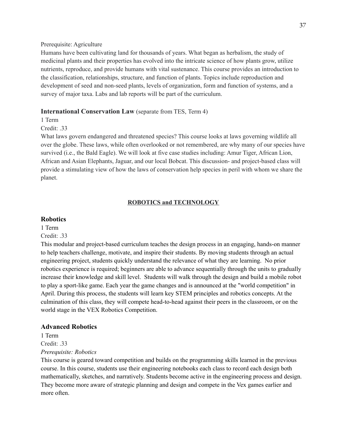#### Prerequisite: Agriculture

Humans have been cultivating land for thousands of years. What began as herbalism, the study of medicinal plants and their properties has evolved into the intricate science of how plants grow, utilize nutrients, reproduce, and provide humans with vital sustenance. This course provides an introduction to the classification, relationships, structure, and function of plants. Topics include reproduction and development of seed and non-seed plants, levels of organization, form and function of systems, and a survey of major taxa. Labs and lab reports will be part of the curriculum.

#### **International Conservation Law** (separate from TES, Term 4)

1 Term

Credit: .33

What laws govern endangered and threatened species? This course looks at laws governing wildlife all over the globe. These laws, while often overlooked or not remembered, are why many of our species have survived (i.e., the Bald Eagle). We will look at five case studies including: Amur Tiger, African Lion, African and Asian Elephants, Jaguar, and our local Bobcat. This discussion- and project-based class will provide a stimulating view of how the laws of conservation help species in peril with whom we share the planet.

#### **ROBOTICS and TECHNOLOGY**

#### **Robotics**

#### 1 Term

#### Credit: .33

This modular and project-based curriculum teaches the design process in an engaging, hands-on manner to help teachers challenge, motivate, and inspire their students. By moving students through an actual engineering project, students quickly understand the relevance of what they are learning. No prior robotics experience is required; beginners are able to advance sequentially through the units to gradually increase their knowledge and skill level. Students will walk through the design and build a mobile robot to play a sport-like game. Each year the game changes and is announced at the "world competition" in April. During this process, the students will learn key STEM principles and robotics concepts. At the culmination of this class, they will compete head-to-head against their peers in the classroom, or on the world stage in the VEX Robotics Competition.

#### **Advanced Robotics**

1 Term Credit: .33 *Prerequisite: Robotics*

This course is geared toward competition and builds on the programming skills learned in the previous course. In this course, students use their engineering notebooks each class to record each design both mathematically, sketches, and narratively. Students become active in the engineering process and design. They become more aware of strategic planning and design and compete in the Vex games earlier and more often.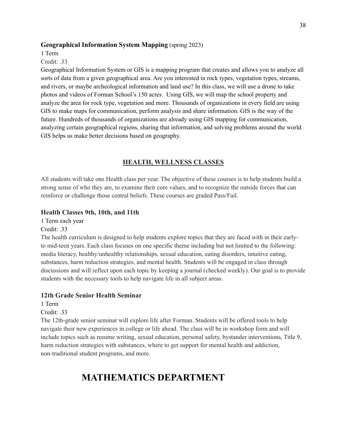#### **Geographical Information System Mapping** (spring 2023)

1 Term

Credit: 33

Geographical Information System or GIS is a mapping program that creates and allows you to analyze all sorts of data from a given geographical area. Are you interested in rock types, vegetation types, streams, and rivers, or maybe archeological information and land use? In this class, we will use a drone to take photos and videos of Forman School's 150 acres. Using GIS, we will map the school property and analyze the area for rock type, vegetation and more. Thousands of organizations in every field are using GIS to make maps for communication, perform analysis and share information. GIS is the way of the future. Hundreds of thousands of organizations are already using GIS mapping for communication, analyzing certain geographical regions, sharing that information, and solving problems around the world. GIS helps us make better decisions based on geography.

# **HEALTH, WELLNESS CLASSES**

All students will take one Health class per year. The objective of these courses is to help students build a strong sense of who they are, to examine their core values, and to recognize the outside forces that can reinforce or challenge those central beliefs. These courses are graded Pass/Fail.

#### **Health Classes 9th, 10th, and 11th**

1 Term each year

Credit: .33

The health curriculum is designed to help students explore topics that they are faced with in their earlyto mid-teen years. Each class focuses on one specific theme including but not limited to the following: media literacy, healthy/unhealthy relationships, sexual education, eating disorders, intuitive eating, substances, harm reduction strategies, and mental health. Students will be engaged in class through discussions and will reflect upon each topic by keeping a journal (checked weekly). Our goal is to provide students with the necessary tools to help navigate life in all subject areas.

#### **12th Grade Senior Health Seminar**

1 Term

Credit: 33

The 12th-grade senior seminar will explore life after Forman. Students will be offered tools to help navigate their new experiences in college or life ahead. The class will be in workshop form and will include topics such as resume writing, sexual education, personal safety, bystander interventions, Title 9, harm reduction strategies with substances, where to get support for mental health and addiction, non-traditional student programs, and more.

# **MATHEMATICS DEPARTMENT**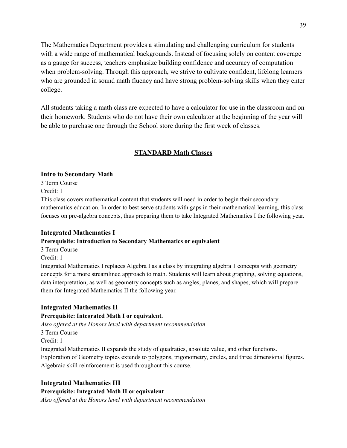The Mathematics Department provides a stimulating and challenging curriculum for students with a wide range of mathematical backgrounds. Instead of focusing solely on content coverage as a gauge for success, teachers emphasize building confidence and accuracy of computation when problem-solving. Through this approach, we strive to cultivate confident, lifelong learners who are grounded in sound math fluency and have strong problem-solving skills when they enter college.

All students taking a math class are expected to have a calculator for use in the classroom and on their homework. Students who do not have their own calculator at the beginning of the year will be able to purchase one through the School store during the first week of classes.

# **STANDARD Math Classes**

#### **Intro to Secondary Math**

3 Term Course Credit: 1

This class covers mathematical content that students will need in order to begin their secondary mathematics education. In order to best serve students with gaps in their mathematical learning, this class focuses on pre-algebra concepts, thus preparing them to take Integrated Mathematics I the following year.

#### **Integrated Mathematics I**

#### **Prerequisite: Introduction to Secondary Mathematics or equivalent**

3 Term Course

Credit: 1

Integrated Mathematics I replaces Algebra I as a class by integrating algebra 1 concepts with geometry concepts for a more streamlined approach to math. Students will learn about graphing, solving equations, data interpretation, as well as geometry concepts such as angles, planes, and shapes, which will prepare them for Integrated Mathematics II the following year.

# **Integrated Mathematics II**

#### **Prerequisite: Integrated Math I or equivalent.**

*Also of ered at the Honors level with department recommendation*

3 Term Course

Credit: 1

Integrated Mathematics II expands the study of quadratics, absolute value, and other functions.

Exploration of Geometry topics extends to polygons, trigonometry, circles, and three dimensional figures. Algebraic skill reinforcement is used throughout this course.

#### **Integrated Mathematics III**

#### **Prerequisite: Integrated Math II or equivalent**

*Also of ered at the Honors level with department recommendation*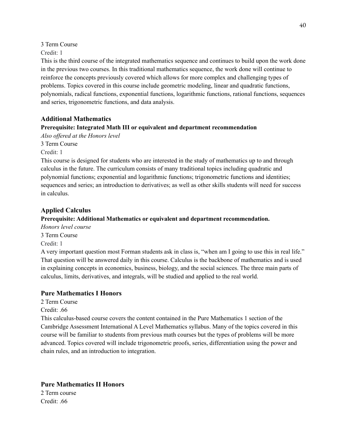3 Term Course

### Credit: 1

This is the third course of the integrated mathematics sequence and continues to build upon the work done in the previous two courses. In this traditional mathematics sequence, the work done will continue to reinforce the concepts previously covered which allows for more complex and challenging types of problems. Topics covered in this course include geometric modeling, linear and quadratic functions, polynomials, radical functions, exponential functions, logarithmic functions, rational functions, sequences and series, trigonometric functions, and data analysis.

# **Additional Mathematics**

# **Prerequisite: Integrated Math III or equivalent and department recommendation**

*Also of ered at the Honors level*

3 Term Course Credit: 1

This course is designed for students who are interested in the study of mathematics up to and through calculus in the future. The curriculum consists of many traditional topics including quadratic and polynomial functions; exponential and logarithmic functions; trigonometric functions and identities; sequences and series; an introduction to derivatives; as well as other skills students will need for success in calculus.

# **Applied Calculus**

# **Prerequisite: Additional Mathematics or equivalent and department recommendation.**

*Honors level course* 3 Term Course

Credit: 1

A very important question most Forman students ask in class is, "when am I going to use this in real life." That question will be answered daily in this course. Calculus is the backbone of mathematics and is used in explaining concepts in economics, business, biology, and the social sciences. The three main parts of calculus, limits, derivatives, and integrals, will be studied and applied to the real world.

# **Pure Mathematics I Honors**

2 Term Course

Credit: .66

This calculus-based course covers the content contained in the Pure Mathematics 1 section of the Cambridge Assessment International A Level Mathematics syllabus. Many of the topics covered in this course will be familiar to students from previous math courses but the types of problems will be more advanced. Topics covered will include trigonometric proofs, series, differentiation using the power and chain rules, and an introduction to integration.

# **Pure Mathematics II Honors**

2 Term course Credit: .66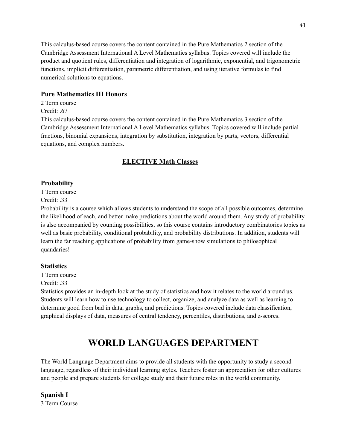This calculus-based course covers the content contained in the Pure Mathematics 2 section of the Cambridge Assessment International A Level Mathematics syllabus. Topics covered will include the product and quotient rules, differentiation and integration of logarithmic, exponential, and trigonometric functions, implicit differentiation, parametric differentiation, and using iterative formulas to find numerical solutions to equations.

# **Pure Mathematics III Honors**

#### 2 Term course

Credit: .67

This calculus-based course covers the content contained in the Pure Mathematics 3 section of the Cambridge Assessment International A Level Mathematics syllabus. Topics covered will include partial fractions, binomial expansions, integration by substitution, integration by parts, vectors, differential equations, and complex numbers.

# **ELECTIVE Math Classes**

# **Probability**

1 Term course Credit: .33

Probability is a course which allows students to understand the scope of all possible outcomes, determine the likelihood of each, and better make predictions about the world around them. Any study of probability is also accompanied by counting possibilities, so this course contains introductory combinatorics topics as well as basic probability, conditional probability, and probability distributions. In addition, students will learn the far reaching applications of probability from game-show simulations to philosophical quandaries!

# **Statistics**

1 Term course

Credit: .33

Statistics provides an in-depth look at the study of statistics and how it relates to the world around us. Students will learn how to use technology to collect, organize, and analyze data as well as learning to determine good from bad in data, graphs, and predictions. Topics covered include data classification, graphical displays of data, measures of central tendency, percentiles, distributions, and z-scores.

# **WORLD LANGUAGES DEPARTMENT**

The World Language Department aims to provide all students with the opportunity to study a second language, regardless of their individual learning styles. Teachers foster an appreciation for other cultures and people and prepare students for college study and their future roles in the world community.

# **Spanish I**

3 Term Course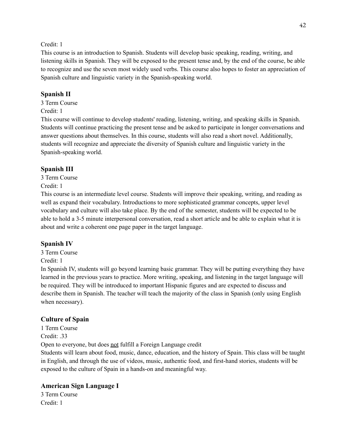Credit: 1

This course is an introduction to Spanish. Students will develop basic speaking, reading, writing, and listening skills in Spanish. They will be exposed to the present tense and, by the end of the course, be able to recognize and use the seven most widely used verbs. This course also hopes to foster an appreciation of Spanish culture and linguistic variety in the Spanish-speaking world.

# **Spanish II**

3 Term Course

Credit: 1

This course will continue to develop students' reading, listening, writing, and speaking skills in Spanish. Students will continue practicing the present tense and be asked to participate in longer conversations and answer questions about themselves. In this course, students will also read a short novel. Additionally, students will recognize and appreciate the diversity of Spanish culture and linguistic variety in the Spanish-speaking world.

# **Spanish III**

3 Term Course

Credit: 1

This course is an intermediate level course. Students will improve their speaking, writing, and reading as well as expand their vocabulary. Introductions to more sophisticated grammar concepts, upper level vocabulary and culture will also take place. By the end of the semester, students will be expected to be able to hold a 3-5 minute interpersonal conversation, read a short article and be able to explain what it is about and write a coherent one page paper in the target language.

# **Spanish IV**

3 Term Course

Credit: 1

In Spanish IV, students will go beyond learning basic grammar. They will be putting everything they have learned in the previous years to practice. More writing, speaking, and listening in the target language will be required. They will be introduced to important Hispanic figures and are expected to discuss and describe them in Spanish. The teacher will teach the majority of the class in Spanish (only using English when necessary).

# **Culture of Spain**

1 Term Course Credit: .33 Open to everyone, but does not fulfill a Foreign Language credit

Students will learn about food, music, dance, education, and the history of Spain. This class will be taught in English, and through the use of videos, music, authentic food, and first-hand stories, students will be exposed to the culture of Spain in a hands-on and meaningful way.

# **American Sign Language I**

3 Term Course Credit: 1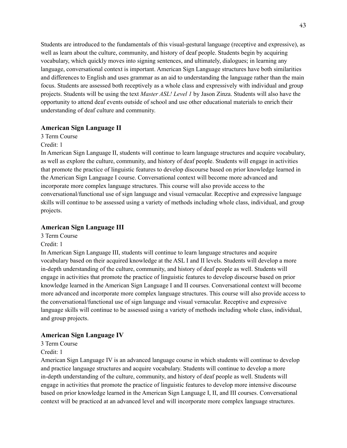Students are introduced to the fundamentals of this visual-gestural language (receptive and expressive), as well as learn about the culture, community, and history of deaf people. Students begin by acquiring vocabulary, which quickly moves into signing sentences, and ultimately, dialogues; in learning any language, conversational context is important. American Sign Language structures have both similarities and differences to English and uses grammar as an aid to understanding the language rather than the main focus. Students are assessed both receptively as a whole class and expressively with individual and group projects. Students will be using the text *Master ASL! Level 1* by Jason Zinza. Students will also have the opportunity to attend deaf events outside of school and use other educational materials to enrich their understanding of deaf culture and community.

#### **American Sign Language II**

3 Term Course

#### Credit: 1

In American Sign Language II, students will continue to learn language structures and acquire vocabulary, as well as explore the culture, community, and history of deaf people. Students will engage in activities that promote the practice of linguistic features to develop discourse based on prior knowledge learned in the American Sign Language I course. Conversational context will become more advanced and incorporate more complex language structures. This course will also provide access to the conversational/functional use of sign language and visual vernacular. Receptive and expressive language skills will continue to be assessed using a variety of methods including whole class, individual, and group projects.

#### **American Sign Language III**

3 Term Course

Credit: 1

In American Sign Language III, students will continue to learn language structures and acquire vocabulary based on their acquired knowledge at the ASL I and II levels. Students will develop a more in-depth understanding of the culture, community, and history of deaf people as well. Students will engage in activities that promote the practice of linguistic features to develop discourse based on prior knowledge learned in the American Sign Language I and II courses. Conversational context will become more advanced and incorporate more complex language structures. This course will also provide access to the conversational/functional use of sign language and visual vernacular. Receptive and expressive language skills will continue to be assessed using a variety of methods including whole class, individual, and group projects.

#### **American Sign Language IV**

3 Term Course Credit: 1

American Sign Language IV is an advanced language course in which students will continue to develop and practice language structures and acquire vocabulary. Students will continue to develop a more in-depth understanding of the culture, community, and history of deaf people as well. Students will engage in activities that promote the practice of linguistic features to develop more intensive discourse based on prior knowledge learned in the American Sign Language I, II, and III courses. Conversational context will be practiced at an advanced level and will incorporate more complex language structures.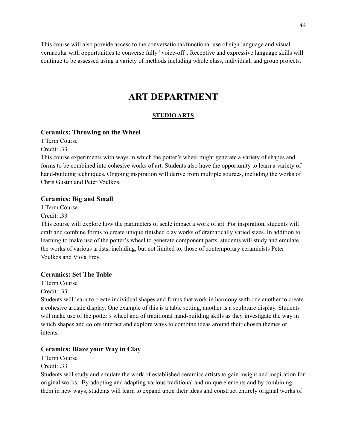This course will also provide access to the conversational/functional use of sign language and visual vernacular with opportunities to converse fully "voice-off". Receptive and expressive language skills will continue to be assessed using a variety of methods including whole class, individual, and group projects.

# **ART DEPARTMENT**

# **STUDIO ARTS**

# **Ceramics: Throwing on the Wheel**

1 Term Course Credit: .33

This course experiments with ways in which the potter's wheel might generate a variety of shapes and forms to be combined into cohesive works of art. Students also have the opportunity to learn a variety of hand-building techniques. Ongoing inspiration will derive from multiple sources, including the works of Chris Gustin and Peter Voulkos.

# **Ceramics: Big and Small**

1 Term Course

Credit: .33

This course will explore how the parameters of scale impact a work of art. For inspiration, students will craft and combine forms to create unique finished clay works of dramatically varied sizes. In addition to learning to make use of the potter's wheel to generate component parts, students will study and emulate the works of various artists, including, but not limited to, those of contemporary ceramicists Peter Voulkos and Viola Frey.

# **Ceramics: Set The Table**

1 Term Course

Credit: .33

Students will learn to create individual shapes and forms that work in harmony with one another to create a cohesive artistic display. One example of this is a table setting, another is a sculpture display. Students will make use of the potter's wheel and of traditional hand-building skills as they investigate the way in which shapes and colors interact and explore ways to combine ideas around their chosen themes or intents.

# **Ceramics: Blaze your Way in Clay**

1 Term Course

Credit: .33

Students will study and emulate the work of established ceramics artists to gain insight and inspiration for original works. By adopting and adapting various traditional and unique elements and by combining them in new ways, students will learn to expand upon their ideas and construct entirely original works of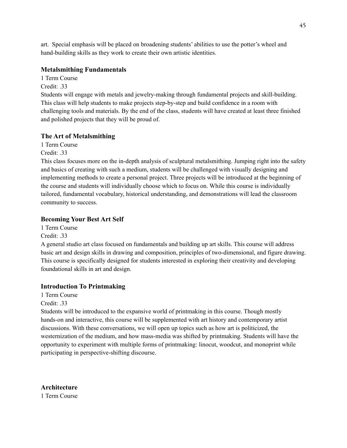art. Special emphasis will be placed on broadening students' abilities to use the potter's wheel and hand-building skills as they work to create their own artistic identities.

# **Metalsmithing Fundamentals**

1 Term Course

Credit: 33

Students will engage with metals and jewelry-making through fundamental projects and skill-building. This class will help students to make projects step-by-step and build confidence in a room with challenging tools and materials. By the end of the class, students will have created at least three finished and polished projects that they will be proud of.

# **The Art of Metalsmithing**

1 Term Course Credit: .33

This class focuses more on the in-depth analysis of sculptural metalsmithing. Jumping right into the safety and basics of creating with such a medium, students will be challenged with visually designing and implementing methods to create a personal project. Three projects will be introduced at the beginning of the course and students will individually choose which to focus on. While this course is individually tailored, fundamental vocabulary, historical understanding, and demonstrations will lead the classroom community to success.

# **Becoming Your Best Art Self**

1 Term Course

Credit: .33

A general studio art class focused on fundamentals and building up art skills. This course will address basic art and design skills in drawing and composition, principles of two-dimensional, and figure drawing. This course is specifically designed for students interested in exploring their creativity and developing foundational skills in art and design.

# **Introduction To Printmaking**

1 Term Course Credit: 33

Students will be introduced to the expansive world of printmaking in this course. Though mostly hands-on and interactive, this course will be supplemented with art history and contemporary artist discussions. With these conversations, we will open up topics such as how art is politicized, the westernization of the medium, and how mass-media was shifted by printmaking. Students will have the opportunity to experiment with multiple forms of printmaking: linocut, woodcut, and monoprint while participating in perspective-shifting discourse.

**Architecture** 1 Term Course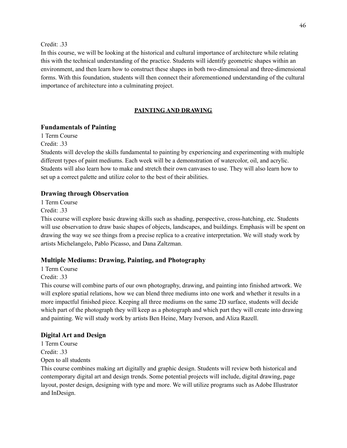Credit: .33

In this course, we will be looking at the historical and cultural importance of architecture while relating this with the technical understanding of the practice. Students will identify geometric shapes within an environment, and then learn how to construct these shapes in both two-dimensional and three-dimensional forms. With this foundation, students will then connect their aforementioned understanding of the cultural importance of architecture into a culminating project.

### **PAINTING AND DRAWING**

#### **Fundamentals of Painting**

1 Term Course

Credit: .33

Students will develop the skills fundamental to painting by experiencing and experimenting with multiple different types of paint mediums. Each week will be a demonstration of watercolor, oil, and acrylic. Students will also learn how to make and stretch their own canvases to use. They will also learn how to set up a correct palette and utilize color to the best of their abilities.

#### **Drawing through Observation**

1 Term Course Credit: 33

This course will explore basic drawing skills such as shading, perspective, cross-hatching, etc. Students will use observation to draw basic shapes of objects, landscapes, and buildings. Emphasis will be spent on drawing the way we see things from a precise replica to a creative interpretation. We will study work by artists Michelangelo, Pablo Picasso, and Dana Zaltzman.

#### **Multiple Mediums: Drawing, Painting, and Photography**

1 Term Course Credit: .33

This course will combine parts of our own photography, drawing, and painting into finished artwork. We will explore spatial relations, how we can blend three mediums into one work and whether it results in a more impactful finished piece. Keeping all three mediums on the same 2D surface, students will decide which part of the photograph they will keep as a photograph and which part they will create into drawing and painting. We will study work by artists Ben Heine, Mary Iverson, and Aliza Razell.

#### **Digital Art and Design**

1 Term Course Credit: .33 Open to all students

This course combines making art digitally and graphic design. Students will review both historical and contemporary digital art and design trends. Some potential projects will include, digital drawing, page layout, poster design, designing with type and more. We will utilize programs such as Adobe Illustrator and InDesign.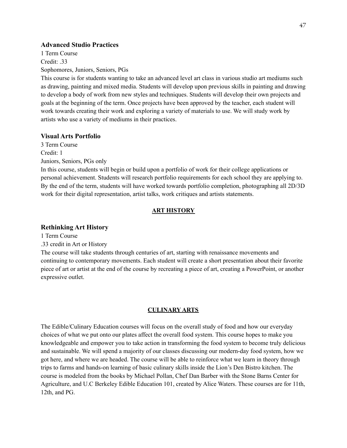#### **Advanced Studio Practices**

1 Term Course Credit: 33 Sophomores, Juniors, Seniors, PGs

This course is for students wanting to take an advanced level art class in various studio art mediums such as drawing, painting and mixed media. Students will develop upon previous skills in painting and drawing to develop a body of work from new styles and techniques. Students will develop their own projects and goals at the beginning of the term. Once projects have been approved by the teacher, each student will work towards creating their work and exploring a variety of materials to use. We will study work by artists who use a variety of mediums in their practices.

#### **Visual Arts Portfolio**

3 Term Course Credit: 1 Juniors, Seniors, PGs only

In this course, students will begin or build upon a portfolio of work for their college applications or personal achievement. Students will research portfolio requirements for each school they are applying to. By the end of the term, students will have worked towards portfolio completion, photographing all 2D/3D work for their digital representation, artist talks, work critiques and artists statements.

#### **ART HISTORY**

# **Rethinking Art History**

1 Term Course

.33 credit in Art or History

The course will take students through centuries of art, starting with renaissance movements and continuing to contemporary movements. Each student will create a short presentation about their favorite piece of art or artist at the end of the course by recreating a piece of art, creating a PowerPoint, or another expressive outlet.

#### **CULINARY ARTS**

The Edible/Culinary Education courses will focus on the overall study of food and how our everyday choices of what we put onto our plates affect the overall food system. This course hopes to make you knowledgeable and empower you to take action in transforming the food system to become truly delicious and sustainable. We will spend a majority of our classes discussing our modern-day food system, how we got here, and where we are headed. The course will be able to reinforce what we learn in theory through trips to farms and hands-on learning of basic culinary skills inside the Lion's Den Bistro kitchen. The course is modeled from the books by Michael Pollan, Chef Dan Barber with the Stone Barns Center for Agriculture, and U.C Berkeley Edible Education 101, created by Alice Waters. These courses are for 11th, 12th, and PG.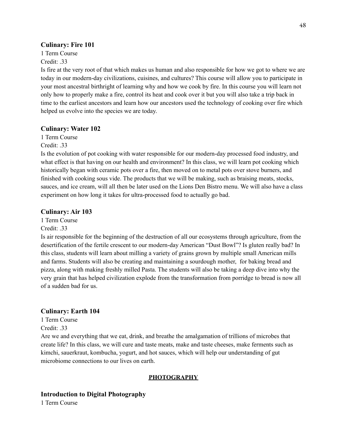#### **Culinary: Fire 101**

1 Term Course Credit: 33

Is fire at the very root of that which makes us human and also responsible for how we got to where we are today in our modern-day civilizations, cuisines, and cultures? This course will allow you to participate in your most ancestral birthright of learning why and how we cook by fire. In this course you will learn not only how to properly make a fire, control its heat and cook over it but you will also take a trip back in time to the earliest ancestors and learn how our ancestors used the technology of cooking over fire which helped us evolve into the species we are today.

#### **Culinary: Water 102**

1 Term Course

Credit: .33

Is the evolution of pot cooking with water responsible for our modern-day processed food industry, and what effect is that having on our health and environment? In this class, we will learn pot cooking which historically began with ceramic pots over a fire, then moved on to metal pots over stove burners, and finished with cooking sous vide. The products that we will be making, such as braising meats, stocks, sauces, and ice cream, will all then be later used on the Lions Den Bistro menu. We will also have a class experiment on how long it takes for ultra-processed food to actually go bad.

#### **Culinary: Air 103**

1 Term Course

Credit: 33

Is air responsible for the beginning of the destruction of all our ecosystems through agriculture, from the desertification of the fertile crescent to our modern-day American "Dust Bowl"? Is gluten really bad? In this class, students will learn about milling a variety of grains grown by multiple small American mills and farms. Students will also be creating and maintaining a sourdough mother, for baking bread and pizza, along with making freshly milled Pasta. The students will also be taking a deep dive into why the very grain that has helped civilization explode from the transformation from porridge to bread is now all of a sudden bad for us.

#### **Culinary: Earth 104**

1 Term Course

Credit: .33

Are we and everything that we eat, drink, and breathe the amalgamation of trillions of microbes that create life? In this class, we will cure and taste meats, make and taste cheeses, make ferments such as kimchi, sauerkraut, kombucha, yogurt, and hot sauces, which will help our understanding of gut microbiome connections to our lives on earth.

#### **PHOTOGRAPHY**

#### **Introduction to Digital Photography**

1 Term Course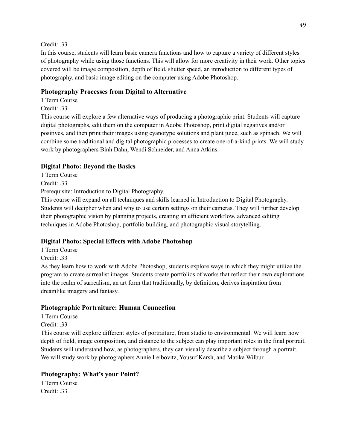#### Credit: .33

In this course, students will learn basic camera functions and how to capture a variety of different styles of photography while using those functions. This will allow for more creativity in their work. Other topics covered will be image composition, depth of field, shutter speed, an introduction to different types of photography, and basic image editing on the computer using Adobe Photoshop.

# **Photography Processes from Digital to Alternative**

- 1 Term Course
- Credit: .33

This course will explore a few alternative ways of producing a photographic print. Students will capture digital photographs, edit them on the computer in Adobe Photoshop, print digital negatives and/or positives, and then print their images using cyanotype solutions and plant juice, such as spinach. We will combine some traditional and digital photographic processes to create one-of-a-kind prints. We will study work by photographers Binh Dahn, Wendi Schneider, and Anna Atkins.

# **Digital Photo: Beyond the Basics**

1 Term Course

Credit: 33

Prerequisite: Introduction to Digital Photography.

This course will expand on all techniques and skills learned in Introduction to Digital Photography. Students will decipher when and why to use certain settings on their cameras. They will further develop their photographic vision by planning projects, creating an efficient workflow, advanced editing techniques in Adobe Photoshop, portfolio building, and photographic visual storytelling.

# **Digital Photo: Special Effects with Adobe Photoshop**

1 Term Course

Credit: .33

As they learn how to work with Adobe Photoshop, students explore ways in which they might utilize the program to create surrealist images. Students create portfolios of works that reflect their own explorations into the realm of surrealism, an art form that traditionally, by definition, derives inspiration from dreamlike imagery and fantasy.

# **Photographic Portraiture: Human Connection**

- 1 Term Course
- Credit: .33

This course will explore different styles of portraiture, from studio to environmental. We will learn how depth of field, image composition, and distance to the subject can play important roles in the final portrait. Students will understand how, as photographers, they can visually describe a subject through a portrait. We will study work by photographers Annie Leibovitz, Yousuf Karsh, and Matika Wilbur.

# **Photography: What's your Point?**

1 Term Course Credit: .33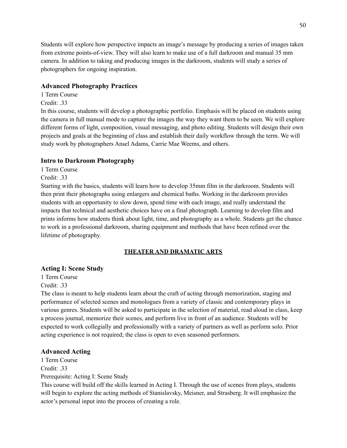Students will explore how perspective impacts an image's message by producing a series of images taken from extreme points-of-view. They will also learn to make use of a full darkroom and manual 35 mm camera. In addition to taking and producing images in the darkroom, students will study a series of photographers for ongoing inspiration.

#### **Advanced Photography Practices**

1 Term Course

Credit: .33

In this course, students will develop a photographic portfolio. Emphasis will be placed on students using the camera in full manual mode to capture the images the way they want them to be seen. We will explore different forms of light, composition, visual messaging, and photo editing. Students will design their own projects and goals at the beginning of class and establish their daily workflow through the term. We will study work by photographers Ansel Adams, Carrie Mae Weems, and others.

#### **Intro to Darkroom Photography**

1 Term Course

Credit: .33

Starting with the basics, students will learn how to develop 35mm film in the darkroom. Students will then print their photographs using enlargers and chemical baths. Working in the darkroom provides students with an opportunity to slow down, spend time with each image, and really understand the impacts that technical and aesthetic choices have on a final photograph. Learning to develop film and prints informs how students think about light, time, and photography as a whole. Students get the chance to work in a professional darkroom, sharing equipment and methods that have been refined over the lifetime of photography.

#### **THEATER AND DRAMATIC ARTS**

#### **Acting I: Scene Study**

1 Term Course  $Credit: 33$ 

The class is meant to help students learn about the craft of acting through memorization, staging and performance of selected scenes and monologues from a variety of classic and contemporary plays in various genres. Students will be asked to participate in the selection of material, read aloud in class, keep a process journal, memorize their scenes, and perform live in front of an audience. Students will be expected to work collegially and professionally with a variety of partners as well as perform solo. Prior acting experience is not required; the class is open to even seasoned performers.

#### **Advanced Acting**

1 Term Course Credit: 33 Prerequisite: Acting I: Scene Study

This course will build off the skills learned in Acting I. Through the use of scenes from plays, students will begin to explore the acting methods of Stanislavsky, Meisner, and Strasberg. It will emphasize the actor's personal input into the process of creating a role.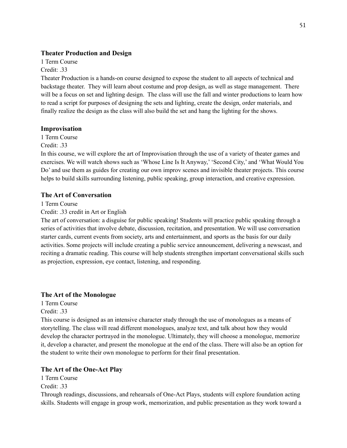#### **Theater Production and Design**

1 Term Course

Credit: .33

Theater Production is a hands-on course designed to expose the student to all aspects of technical and backstage theater. They will learn about costume and prop design, as well as stage management. There will be a focus on set and lighting design. The class will use the fall and winter productions to learn how to read a script for purposes of designing the sets and lighting, create the design, order materials, and finally realize the design as the class will also build the set and hang the lighting for the shows.

### **Improvisation**

1 Term Course

Credit: .33

In this course, we will explore the art of Improvisation through the use of a variety of theater games and exercises. We will watch shows such as 'Whose Line Is It Anyway,' 'Second City,' and 'What Would You Do' and use them as guides for creating our own improv scenes and invisible theater projects. This course helps to build skills surrounding listening, public speaking, group interaction, and creative expression.

### **The Art of Conversation**

1 Term Course

Credit: .33 credit in Art or English

The art of conversation: a disguise for public speaking! Students will practice public speaking through a series of activities that involve debate, discussion, recitation, and presentation. We will use conversation starter cards, current events from society, arts and entertainment, and sports as the basis for our daily activities. Some projects will include creating a public service announcement, delivering a newscast, and reciting a dramatic reading. This course will help students strengthen important conversational skills such as projection, expression, eye contact, listening, and responding.

#### **The Art of the Monologue**

1 Term Course Credit: .33

This course is designed as an intensive character study through the use of monologues as a means of storytelling. The class will read different monologues, analyze text, and talk about how they would develop the character portrayed in the monologue. Ultimately, they will choose a monologue, memorize it, develop a character, and present the monologue at the end of the class. There will also be an option for the student to write their own monologue to perform for their final presentation.

#### **The Art of the One-Act Play**

1 Term Course Credit: .33

Through readings, discussions, and rehearsals of One-Act Plays, students will explore foundation acting skills. Students will engage in group work, memorization, and public presentation as they work toward a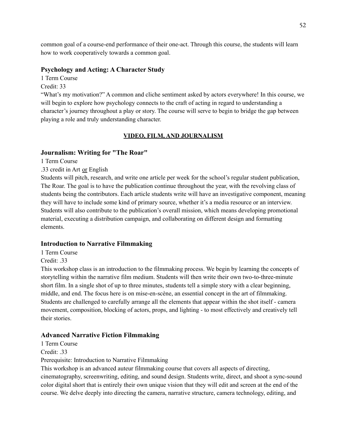common goal of a course-end performance of their one-act. Through this course, the students will learn how to work cooperatively towards a common goal.

#### **Psychology and Acting: A Character Study**

1 Term Course

Credit: 33

"What's my motivation?" A common and cliche sentiment asked by actors everywhere! In this course, we will begin to explore how psychology connects to the craft of acting in regard to understanding a character's journey throughout a play or story. The course will serve to begin to bridge the gap between playing a role and truly understanding character.

#### **VIDEO, FILM, AND JOURNALISM**

#### **Journalism: Writing for "The Roar"**

1 Term Course

.33 credit in Art or English

Students will pitch, research, and write one article per week for the school's regular student publication, The Roar. The goal is to have the publication continue throughout the year, with the revolving class of students being the contributors. Each article students write will have an investigative component, meaning they will have to include some kind of primary source, whether it's a media resource or an interview. Students will also contribute to the publication's overall mission, which means developing promotional material, executing a distribution campaign, and collaborating on different design and formatting elements.

#### **Introduction to Narrative Filmmaking**

1 Term Course

Credit: .33

This workshop class is an introduction to the filmmaking process. We begin by learning the concepts of storytelling within the narrative film medium. Students will then write their own two-to-three-minute short film. In a single shot of up to three minutes, students tell a simple story with a clear beginning, middle, and end. The focus here is on mise-en-scène, an essential concept in the art of filmmaking. Students are challenged to carefully arrange all the elements that appear within the shot itself - camera movement, composition, blocking of actors, props, and lighting - to most effectively and creatively tell their stories.

#### **Advanced Narrative Fiction Filmmaking**

1 Term Course Credit: .33

Prerequisite: Introduction to Narrative Filmmaking

This workshop is an advanced auteur filmmaking course that covers all aspects of directing, cinematography, screenwriting, editing, and sound design. Students write, direct, and shoot a sync-sound color digital short that is entirely their own unique vision that they will edit and screen at the end of the course. We delve deeply into directing the camera, narrative structure, camera technology, editing, and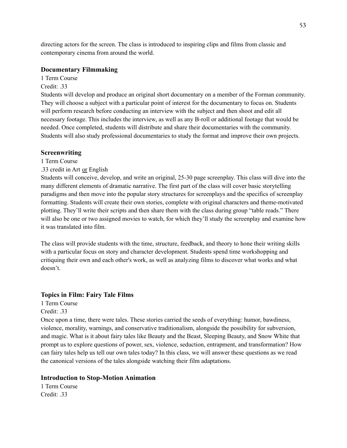directing actors for the screen. The class is introduced to inspiring clips and films from classic and contemporary cinema from around the world.

#### **Documentary Filmmaking**

1 Term Course

# Credit: .33

Students will develop and produce an original short documentary on a member of the Forman community. They will choose a subject with a particular point of interest for the documentary to focus on. Students will perform research before conducting an interview with the subject and then shoot and edit all necessary footage. This includes the interview, as well as any B-roll or additional footage that would be needed. Once completed, students will distribute and share their documentaries with the community. Students will also study professional documentaries to study the format and improve their own projects.

#### **Screenwriting**

1 Term Course

#### .33 credit in Art or English

Students will conceive, develop, and write an original, 25-30 page screenplay. This class will dive into the many different elements of dramatic narrative. The first part of the class will cover basic storytelling paradigms and then move into the popular story structures for screenplays and the specifics of screenplay formatting. Students will create their own stories, complete with original characters and theme-motivated plotting. They'll write their scripts and then share them with the class during group "table reads." There will also be one or two assigned movies to watch, for which they'll study the screenplay and examine how it was translated into film.

The class will provide students with the time, structure, feedback, and theory to hone their writing skills with a particular focus on story and character development. Students spend time workshopping and critiquing their own and each other's work, as well as analyzing films to discover what works and what doesn't.

#### **Topics in Film: Fairy Tale Films**

1 Term Course Credit: .33

Once upon a time, there were tales. These stories carried the seeds of everything: humor, bawdiness, violence, morality, warnings, and conservative traditionalism, alongside the possibility for subversion, and magic. What is it about fairy tales like Beauty and the Beast, Sleeping Beauty, and Snow White that prompt us to explore questions of power, sex, violence, seduction, entrapment, and transformation? How can fairy tales help us tell our own tales today? In this class, we will answer these questions as we read the canonical versions of the tales alongside watching their film adaptations.

#### **Introduction to Stop-Motion Animation**

1 Term Course Credit: 33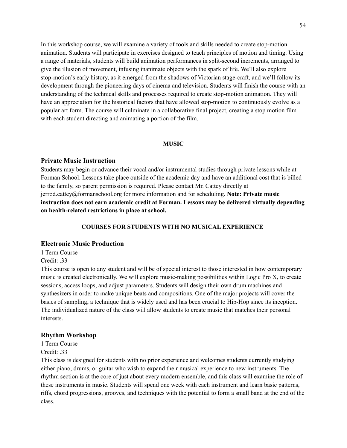In this workshop course, we will examine a variety of tools and skills needed to create stop-motion animation. Students will participate in exercises designed to teach principles of motion and timing. Using a range of materials, students will build animation performances in split-second increments, arranged to give the illusion of movement, infusing inanimate objects with the spark of life. We'll also explore stop-motion's early history, as it emerged from the shadows of Victorian stage-craft, and we'll follow its development through the pioneering days of cinema and television. Students will finish the course with an understanding of the technical skills and processes required to create stop-motion animation. They will have an appreciation for the historical factors that have allowed stop-motion to continuously evolve as a popular art form. The course will culminate in a collaborative final project, creating a stop motion film with each student directing and animating a portion of the film.

#### **MUSIC**

#### **Private Music Instruction**

Students may begin or advance their vocal and/or instrumental studies through private lessons while at Forman School. Lessons take place outside of the academic day and have an additional cost that is billed to the family, so parent permission is required. Please contact Mr. Cattey directly at jerrod.cattey@formanschool.org for more information and for scheduling. **Note: Private music instruction does not earn academic credit at Forman. Lessons may be delivered virtually depending on health-related restrictions in place at school.**

### **COURSES FOR STUDENTS WITH NO MUSICAL EXPERIENCE**

#### **Electronic Music Production**

1 Term Course Credit: .33

This course is open to any student and will be of special interest to those interested in how contemporary music is created electronically. We will explore music-making possibilities within Logic Pro X, to create sessions, access loops, and adjust parameters. Students will design their own drum machines and synthesizers in order to make unique beats and compositions. One of the major projects will cover the basics of sampling, a technique that is widely used and has been crucial to Hip-Hop since its inception. The individualized nature of the class will allow students to create music that matches their personal interests.

#### **Rhythm Workshop**

1 Term Course Credit: .33

This class is designed for students with no prior experience and welcomes students currently studying either piano, drums, or guitar who wish to expand their musical experience to new instruments. The rhythm section is at the core of just about every modern ensemble, and this class will examine the role of these instruments in music. Students will spend one week with each instrument and learn basic patterns, riffs, chord progressions, grooves, and techniques with the potential to form a small band at the end of the class.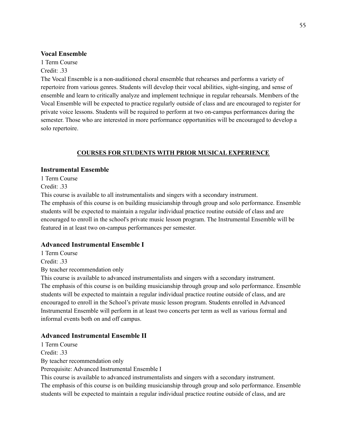### **Vocal Ensemble**

1 Term Course  $Credit: 33$ 

The Vocal Ensemble is a non-auditioned choral ensemble that rehearses and performs a variety of repertoire from various genres. Students will develop their vocal abilities, sight-singing, and sense of ensemble and learn to critically analyze and implement technique in regular rehearsals. Members of the Vocal Ensemble will be expected to practice regularly outside of class and are encouraged to register for private voice lessons. Students will be required to perform at two on-campus performances during the semester. Those who are interested in more performance opportunities will be encouraged to develop a solo repertoire.

# **COURSES FOR STUDENTS WITH PRIOR MUSICAL EXPERIENCE**

# **Instrumental Ensemble**

1 Term Course

Credit: .33

This course is available to all instrumentalists and singers with a secondary instrument. The emphasis of this course is on building musicianship through group and solo performance. Ensemble students will be expected to maintain a regular individual practice routine outside of class and are encouraged to enroll in the school's private music lesson program. The Instrumental Ensemble will be featured in at least two on-campus performances per semester.

# **Advanced Instrumental Ensemble I**

1 Term Course Credit: .33 By teacher recommendation only

This course is available to advanced instrumentalists and singers with a secondary instrument. The emphasis of this course is on building musicianship through group and solo performance. Ensemble students will be expected to maintain a regular individual practice routine outside of class, and are encouraged to enroll in the School's private music lesson program. Students enrolled in Advanced Instrumental Ensemble will perform in at least two concerts per term as well as various formal and informal events both on and off campus.

# **Advanced Instrumental Ensemble II**

1 Term Course Credit: .33 By teacher recommendation only Prerequisite: Advanced Instrumental Ensemble I This course is available to advanced instrumentalists and singers with a secondary instrument. The emphasis of this course is on building musicianship through group and solo performance. Ensemble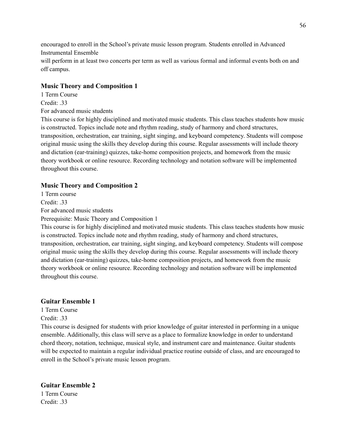encouraged to enroll in the School's private music lesson program. Students enrolled in Advanced Instrumental Ensemble will perform in at least two concerts per term as well as various formal and informal events both on and off campus.

#### **Music Theory and Composition 1**

1 Term Course Credit: .33 For advanced music students

This course is for highly disciplined and motivated music students. This class teaches students how music is constructed. Topics include note and rhythm reading, study of harmony and chord structures, transposition, orchestration, ear training, sight singing, and keyboard competency. Students will compose original music using the skills they develop during this course. Regular assessments will include theory and dictation (ear-training) quizzes, take-home composition projects, and homework from the music theory workbook or online resource. Recording technology and notation software will be implemented throughout this course.

#### **Music Theory and Composition 2**

1 Term course Credit: .33 For advanced music students

Prerequisite: Music Theory and Composition 1

This course is for highly disciplined and motivated music students. This class teaches students how music is constructed. Topics include note and rhythm reading, study of harmony and chord structures, transposition, orchestration, ear training, sight singing, and keyboard competency. Students will compose original music using the skills they develop during this course. Regular assessments will include theory and dictation (ear-training) quizzes, take-home composition projects, and homework from the music theory workbook or online resource. Recording technology and notation software will be implemented throughout this course.

#### **Guitar Ensemble 1**

1 Term Course

Credit: .33

This course is designed for students with prior knowledge of guitar interested in performing in a unique ensemble. Additionally, this class will serve as a place to formalize knowledge in order to understand chord theory, notation, technique, musical style, and instrument care and maintenance. Guitar students will be expected to maintain a regular individual practice routine outside of class, and are encouraged to enroll in the School's private music lesson program.

**Guitar Ensemble 2** 1 Term Course Credit: .33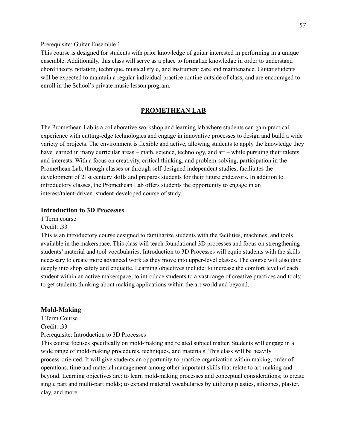Prerequisite: Guitar Ensemble 1

This course is designed for students with prior knowledge of guitar interested in performing in a unique ensemble. Additionally, this class will serve as a place to formalize knowledge in order to understand chord theory, notation, technique, musical style, and instrument care and maintenance. Guitar students will be expected to maintain a regular individual practice routine outside of class, and are encouraged to enroll in the School's private music lesson program.

#### **PROMETHEAN LAB**

The Promethean Lab is a collaborative workshop and learning lab where students can gain practical experience with cutting-edge technologies and engage in innovative processes to design and build a wide variety of projects. The environment is flexible and active, allowing students to apply the knowledge they have learned in many curricular areas – math, science, technology, and art – while pursuing their talents and interests. With a focus on creativity, critical thinking, and problem-solving, participation in the Promethean Lab, through classes or through self-designed independent studies, facilitates the development of 21st century skills and prepares students for their future endeavors. In addition to introductory classes, the Promethean Lab offers students the opportunity to engage in an interest/talent-driven, student-developed course of study.

#### **Introduction to 3D Processes**

1 Term course

Credit: .33

This is an introductory course designed to familiarize students with the facilities, machines, and tools available in the makerspace. This class will teach foundational 3D processes and focus on strengthening students' material and tool vocabularies. Introduction to 3D Processes will equip students with the skills necessary to create more advanced work as they move into upper-level classes. The course will also dive deeply into shop safety and etiquette. Learning objectives include: to increase the comfort level of each student within an active makerspace; to introduce students to a vast range of creative practices and tools; to get students thinking about making applications within the art world and beyond.

#### **Mold-Making**

1 Term Course Credit: .33 Prerequisite: Introduction to 3D Processes

This course focuses specifically on mold-making and related subject matter. Students will engage in a wide range of mold-making procedures, techniques, and materials. This class will be heavily process-oriented. It will give students an opportunity to practice organization within making, order of operations, time and material management among other important skills that relate to art-making and beyond. Learning objectives are: to learn mold-making processes and conceptual considerations; to create single part and multi-part molds; to expand material vocabularies by utilizing plastics, silicones, plaster, clay, and more.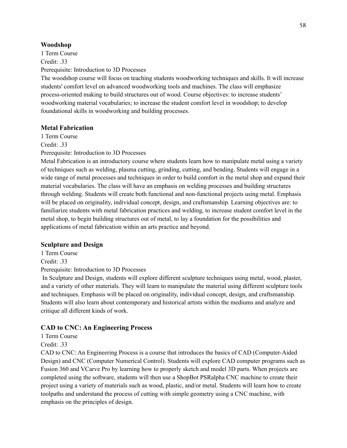#### **Woodshop**

1 Term Course  $Credit: 33$ Prerequisite: Introduction to 3D Processes

The woodshop course will focus on teaching students woodworking techniques and skills. It will increase students' comfort level on advanced woodworking tools and machines. The class will emphasize process-oriented making to build structures out of wood. Course objectives: to increase students' woodworking material vocabularies; to increase the student comfort level in woodshop; to develop foundational skills in woodworking and building processes.

# **Metal Fabrication**

1 Term Course Credit: 33 Prerequisite: Introduction to 3D Processes

Metal Fabrication is an introductory course where students learn how to manipulate metal using a variety of techniques such as welding, plasma cutting, grinding, cutting, and bending. Students will engage in a wide range of metal processes and techniques in order to build comfort in the metal shop and expand their material vocabularies. The class will have an emphasis on welding processes and building structures through welding. Students will create both functional and non-functional projects using metal. Emphasis will be placed on originality, individual concept, design, and craftsmanship. Learning objectives are: to familiarize students with metal fabrication practices and welding, to increase student comfort level in the metal shop, to begin building structures out of metal, to lay a foundation for the possibilities and applications of metal fabrication within an arts practice and beyond.

#### **Sculpture and Design**

1 Term Course Credit: .33 Prerequisite: Introduction to 3D Processes

In Sculpture and Design, students will explore different sculpture techniques using metal, wood, plaster, and a variety of other materials. They will learn to manipulate the material using different sculpture tools and techniques. Emphasis will be placed on originality, individual concept, design, and craftsmanship. Students will also learn about contemporary and historical artists within the mediums and analyze and critique all different kinds of work.

# **CAD to CNC: An Engineering Process**

1 Term Course

Credit: .33

CAD to CNC: An Engineering Process is a course that introduces the basics of CAD (Computer-Aided Design) and CNC (Computer Numerical Control). Students will explore CAD computer programs such as Fusion 360 and VCarve Pro by learning how to properly sketch and model 3D parts. When projects are completed using the software, students will then use a ShopBot PSRalpha CNC machine to create their project using a variety of materials such as wood, plastic, and/or metal. Students will learn how to create toolpaths and understand the process of cutting with simple geometry using a CNC machine, with emphasis on the principles of design.